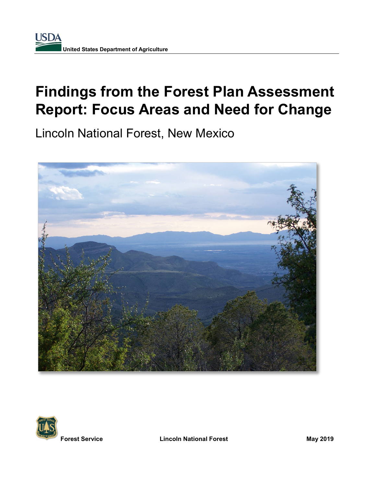# **Findings from the Forest Plan Assessment Report: Focus Areas and Need for Change**

Lincoln National Forest, New Mexico





**Forest Service Lincoln National Forest May 2019**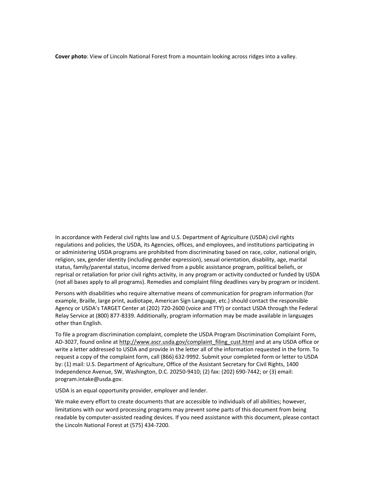**Cover photo**: View of Lincoln National Forest from a mountain looking across ridges into a valley.

In accordance with Federal civil rights law and U.S. Department of Agriculture (USDA) civil rights regulations and policies, the USDA, its Agencies, offices, and employees, and institutions participating in or administering USDA programs are prohibited from discriminating based on race, color, national origin, religion, sex, gender identity (including gender expression), sexual orientation, disability, age, marital status, family/parental status, income derived from a public assistance program, political beliefs, or reprisal or retaliation for prior civil rights activity, in any program or activity conducted or funded by USDA (not all bases apply to all programs). Remedies and complaint filing deadlines vary by program or incident.

Persons with disabilities who require alternative means of communication for program information (for example, Braille, large print, audiotape, American Sign Language, etc.) should contact the responsible Agency or USDA's TARGET Center at (202) 720-2600 (voice and TTY) or contact USDA through the Federal Relay Service at (800) 877-8339. Additionally, program information may be made available in languages other than English.

To file a program discrimination complaint, complete the USDA Program Discrimination Complaint Form, AD-3027, found online a[t http://www.ascr.usda.gov/complaint\\_filing\\_cust.html](http://www.ascr.usda.gov/complaint_filing_cust.html) and at any USDA office or write a letter addressed to USDA and provide in the letter all of the information requested in the form. To request a copy of the complaint form, call (866) 632-9992. Submit your completed form or letter to USDA by: (1) mail: U.S. Department of Agriculture, Office of the Assistant Secretary for Civil Rights, 1400 Independence Avenue, SW, Washington, D.C. 20250-9410; (2) fax: (202) 690-7442; or (3) email: program.intake@usda.gov.

USDA is an equal opportunity provider, employer and lender.

We make every effort to create documents that are accessible to individuals of all abilities; however, limitations with our word processing programs may prevent some parts of this document from being readable by computer-assisted reading devices. If you need assistance with this document, please contact the Lincoln National Forest at (575) 434-7200.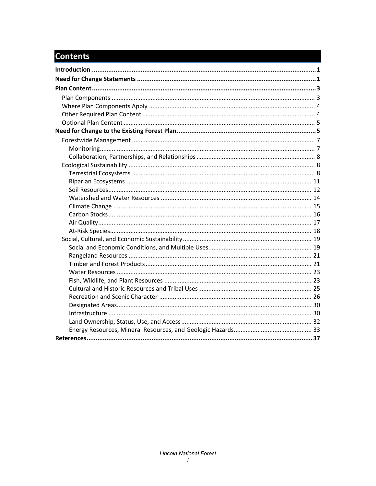## **Contents**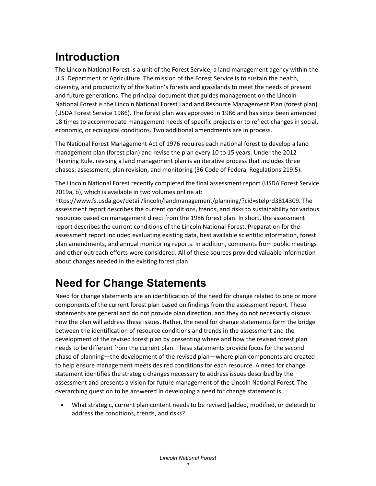## <span id="page-4-0"></span>**Introduction**

The Lincoln National Forest is a unit of the Forest Service, a land management agency within the U.S. Department of Agriculture. The mission of the Forest Service is to sustain the health, diversity, and productivity of the Nation's forests and grasslands to meet the needs of present and future generations. The principal document that guides management on the Lincoln National Forest is the Lincoln National Forest Land and Resource Management Plan (forest plan) (USDA Forest Service 1986). The forest plan was approved in 1986 and has since been amended 18 times to accommodate management needs of specific projects or to reflect changes in social, economic, or ecological conditions. Two additional amendments are in process.

The National Forest Management Act of 1976 requires each national forest to develop a land management plan (forest plan) and revise the plan every 10 to 15 years. Under the 2012 Planning Rule, revising a land management plan is an iterative process that includes three phases: assessment, plan revision, and monitoring (36 Code of Federal Regulations 219.5).

The Lincoln National Forest recently completed the final assessment report (USDA Forest Service 2019a, b), which is available in two volumes online at:

https://www.fs.usda.gov/detail/lincoln/landmanagement/planning/?cid=stelprd3814309. The assessment report describes the current conditions, trends, and risks to sustainability for various resources based on management direct from the 1986 forest plan. In short, the assessment report describes the current conditions of the Lincoln National Forest. Preparation for the assessment report included evaluating existing data, best available scientific information, forest plan amendments, and annual monitoring reports. In addition, comments from public meetings and other outreach efforts were considered. All of these sources provided valuable information about changes needed in the existing forest plan.

## <span id="page-4-1"></span>**Need for Change Statements**

Need for change statements are an identification of the need for change related to one or more components of the current forest plan based on findings from the assessment report. These statements are general and do not provide plan direction, and they do not necessarily discuss how the plan will address these issues. Rather, the need for change statements form the bridge between the identification of resource conditions and trends in the assessment and the development of the revised forest plan by presenting where and how the revised forest plan needs to be different from the current plan. These statements provide focus for the second phase of planning—the development of the revised plan—where plan components are created to help ensure management meets desired conditions for each resource. A need for change statement identifies the strategic changes necessary to address issues described by the assessment and presents a vision for future management of the Lincoln National Forest. The overarching question to be answered in developing a need for change statement is:

• What strategic, current plan content needs to be revised (added, modified, or deleted) to address the conditions, trends, and risks?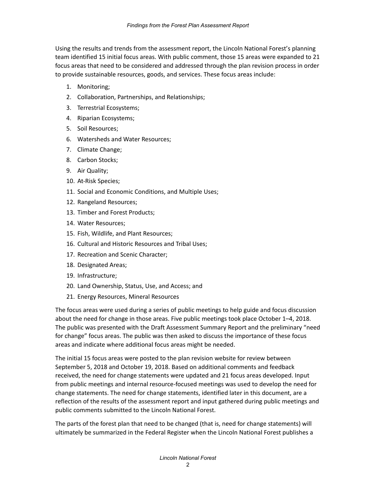Using the results and trends from the assessment report, the Lincoln National Forest's planning team identified 15 initial focus areas. With public comment, those 15 areas were expanded to 21 focus areas that need to be considered and addressed through the plan revision process in order to provide sustainable resources, goods, and services. These focus areas include:

- 1. Monitoring;
- 2. Collaboration, Partnerships, and Relationships;
- 3. Terrestrial Ecosystems;
- 4. Riparian Ecosystems;
- 5. Soil Resources;
- 6. Watersheds and Water Resources;
- 7. Climate Change;
- 8. Carbon Stocks;
- 9. Air Quality;
- 10. At-Risk Species;
- 11. Social and Economic Conditions, and Multiple Uses;
- 12. Rangeland Resources;
- 13. Timber and Forest Products;
- 14. Water Resources;
- 15. Fish, Wildlife, and Plant Resources;
- 16. Cultural and Historic Resources and Tribal Uses;
- 17. Recreation and Scenic Character;
- 18. Designated Areas;
- 19. Infrastructure;
- 20. Land Ownership, Status, Use, and Access; and
- 21. Energy Resources, Mineral Resources

The focus areas were used during a series of public meetings to help guide and focus discussion about the need for change in those areas. Five public meetings took place October 1–4, 2018. The public was presented with the Draft Assessment Summary Report and the preliminary "need for change" focus areas. The public was then asked to discuss the importance of these focus areas and indicate where additional focus areas might be needed.

The initial 15 focus areas were posted to the plan revision website for review between September 5, 2018 and October 19, 2018. Based on additional comments and feedback received, the need for change statements were updated and 21 focus areas developed. Input from public meetings and internal resource-focused meetings was used to develop the need for change statements. The need for change statements, identified later in this document, are a reflection of the results of the assessment report and input gathered during public meetings and public comments submitted to the Lincoln National Forest.

The parts of the forest plan that need to be changed (that is, need for change statements) will ultimately be summarized in the Federal Register when the Lincoln National Forest publishes a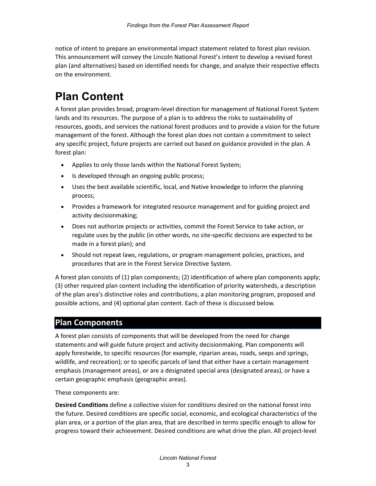notice of intent to prepare an environmental impact statement related to forest plan revision. This announcement will convey the Lincoln National Forest's intent to develop a revised forest plan (and alternatives) based on identified needs for change, and analyze their respective effects on the environment.

## <span id="page-6-0"></span>**Plan Content**

A forest plan provides broad, program-level direction for management of National Forest System lands and its resources. The purpose of a plan is to address the risks to sustainability of resources, goods, and services the national forest produces and to provide a vision for the future management of the forest. Although the forest plan does not contain a commitment to select any specific project, future projects are carried out based on guidance provided in the plan. A forest plan:

- Applies to only those lands within the National Forest System;
- Is developed through an ongoing public process;
- Uses the best available scientific, local, and Native knowledge to inform the planning process;
- Provides a framework for integrated resource management and for guiding project and activity decisionmaking;
- Does not authorize projects or activities, commit the Forest Service to take action, or regulate uses by the public (in other words, no site-specific decisions are expected to be made in a forest plan); and
- Should not repeat laws, regulations, or program management policies, practices, and procedures that are in the Forest Service Directive System.

A forest plan consists of (1) plan components; (2) identification of where plan components apply; (3) other required plan content including the identification of priority watersheds, a description of the plan area's distinctive roles and contributions, a plan monitoring program, proposed and possible actions, and (4) optional plan content. Each of these is discussed below.

#### <span id="page-6-1"></span>**Plan Components**

A forest plan consists of components that will be developed from the need for change statements and will guide future project and activity decisionmaking. Plan components will apply forestwide, to specific resources (for example, riparian areas, roads, seeps and springs, wildlife, and recreation); or to specific parcels of land that either have a certain management emphasis (management areas), or are a designated special area (designated areas), or have a certain geographic emphasis (geographic areas).

These components are:

**Desired Conditions** define a collective vision for conditions desired on the national forest into the future. Desired conditions are specific social, economic, and ecological characteristics of the plan area, or a portion of the plan area, that are described in terms specific enough to allow for progress toward their achievement. Desired conditions are what drive the plan. All project-level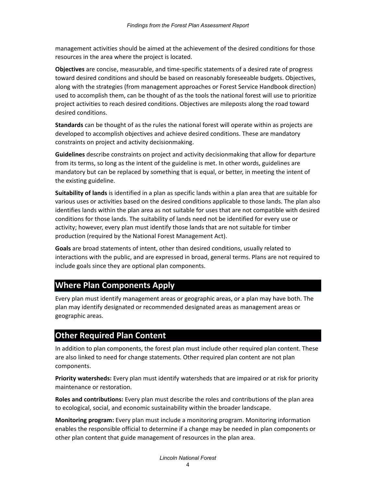management activities should be aimed at the achievement of the desired conditions for those resources in the area where the project is located.

**Objectives** are concise, measurable, and time-specific statements of a desired rate of progress toward desired conditions and should be based on reasonably foreseeable budgets. Objectives, along with the strategies (from management approaches or Forest Service Handbook direction) used to accomplish them, can be thought of as the tools the national forest will use to prioritize project activities to reach desired conditions. Objectives are mileposts along the road toward desired conditions.

**Standards** can be thought of as the rules the national forest will operate within as projects are developed to accomplish objectives and achieve desired conditions. These are mandatory constraints on project and activity decisionmaking.

**Guidelines** describe constraints on project and activity decisionmaking that allow for departure from its terms, so long as the intent of the guideline is met. In other words, guidelines are mandatory but can be replaced by something that is equal, or better, in meeting the intent of the existing guideline.

**Suitability of lands** is identified in a plan as specific lands within a plan area that are suitable for various uses or activities based on the desired conditions applicable to those lands. The plan also identifies lands within the plan area as not suitable for uses that are not compatible with desired conditions for those lands. The suitability of lands need not be identified for every use or activity; however, every plan must identify those lands that are not suitable for timber production (required by the National Forest Management Act).

**Goals** are broad statements of intent, other than desired conditions, usually related to interactions with the public, and are expressed in broad, general terms. Plans are not required to include goals since they are optional plan components.

### <span id="page-7-0"></span>**Where Plan Components Apply**

Every plan must identify management areas or geographic areas, or a plan may have both. The plan may identify designated or recommended designated areas as management areas or geographic areas.

### <span id="page-7-1"></span>**Other Required Plan Content**

In addition to plan components, the forest plan must include other required plan content. These are also linked to need for change statements. Other required plan content are not plan components.

**Priority watersheds:** Every plan must identify watersheds that are impaired or at risk for priority maintenance or restoration.

**Roles and contributions:** Every plan must describe the roles and contributions of the plan area to ecological, social, and economic sustainability within the broader landscape.

**Monitoring program:** Every plan must include a monitoring program. Monitoring information enables the responsible official to determine if a change may be needed in plan components or other plan content that guide management of resources in the plan area.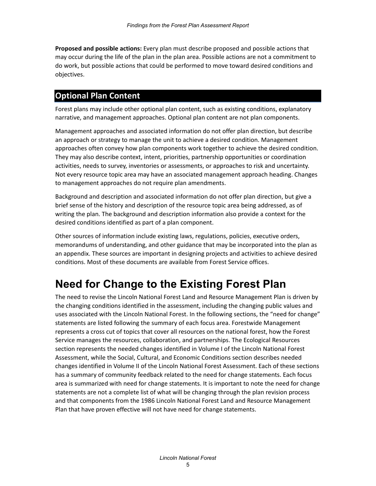**Proposed and possible actions:** Every plan must describe proposed and possible actions that may occur during the life of the plan in the plan area. Possible actions are not a commitment to do work, but possible actions that could be performed to move toward desired conditions and objectives.

## <span id="page-8-0"></span>**Optional Plan Content**

Forest plans may include other optional plan content, such as existing conditions, explanatory narrative, and management approaches. Optional plan content are not plan components.

Management approaches and associated information do not offer plan direction, but describe an approach or strategy to manage the unit to achieve a desired condition. Management approaches often convey how plan components work together to achieve the desired condition. They may also describe context, intent, priorities, partnership opportunities or coordination activities, needs to survey, inventories or assessments, or approaches to risk and uncertainty. Not every resource topic area may have an associated management approach heading. Changes to management approaches do not require plan amendments.

Background and description and associated information do not offer plan direction, but give a brief sense of the history and description of the resource topic area being addressed, as of writing the plan. The background and description information also provide a context for the desired conditions identified as part of a plan component.

Other sources of information include existing laws, regulations, policies, executive orders, memorandums of understanding, and other guidance that may be incorporated into the plan as an appendix. These sources are important in designing projects and activities to achieve desired conditions. Most of these documents are available from Forest Service offices.

## <span id="page-8-1"></span>**Need for Change to the Existing Forest Plan**

The need to revise the Lincoln National Forest Land and Resource Management Plan is driven by the changing conditions identified in the assessment, including the changing public values and uses associated with the Lincoln National Forest. In the following sections, the "need for change" statements are listed following the summary of each focus area. Forestwide Management represents a cross cut of topics that cover all resources on the national forest, how the Forest Service manages the resources, collaboration, and partnerships. The Ecological Resources section represents the needed changes identified in Volume I of the Lincoln National Forest Assessment, while the Social, Cultural, and Economic Conditions section describes needed changes identified in Volume II of the Lincoln National Forest Assessment. Each of these sections has a summary of community feedback related to the need for change statements. Each focus area is summarized with need for change statements. It is important to note the need for change statements are not a complete list of what will be changing through the plan revision process and that components from the 1986 Lincoln National Forest Land and Resource Management Plan that have proven effective will not have need for change statements.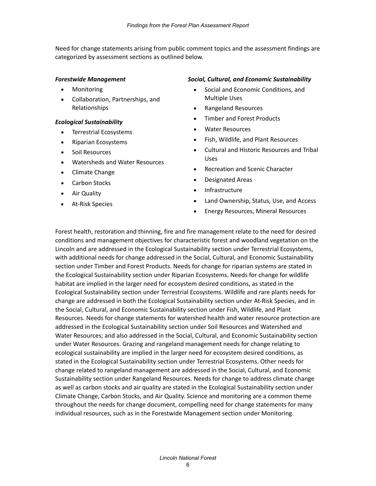Need for change statements arising from public comment topics and the assessment findings are categorized by assessment sections as outlined below.

#### *Forestwide Management*

- Monitoring
- Collaboration, Partnerships, and Relationships

#### *Ecological Sustainability*

- Terrestrial Ecosystems
- Riparian Ecosystems
- Soil Resources
- Watersheds and Water Resources
- Climate Change
- Carbon Stocks
- Air Quality
- At-Risk Species

#### *Social, Cultural, and Economic Sustainability*

- Social and Economic Conditions, and Multiple Uses
- Rangeland Resources
- Timber and Forest Products
- Water Resources
- Fish, Wildlife, and Plant Resources
- Cultural and Historic Resources and Tribal Uses
- Recreation and Scenic Character
- Designated Areas
- Infrastructure
- Land Ownership, Status, Use, and Access
- Energy Resources, Mineral Resources

Forest health, restoration and thinning, fire and fire management relate to the need for desired conditions and management objectives for characteristic forest and woodland vegetation on the Lincoln and are addressed in the Ecological Sustainability section under Terrestrial Ecosystems, with additional needs for change addressed in the Social, Cultural, and Economic Sustainability section under Timber and Forest Products. Needs for change for riparian systems are stated in the Ecological Sustainability section under Riparian Ecosystems. Needs for change for wildlife habitat are implied in the larger need for ecosystem desired conditions, as stated in the Ecological Sustainability section under Terrestrial Ecosystems. Wildlife and rare plants needs for change are addressed in both the Ecological Sustainability section under At-Risk Species, and in the Social, Cultural, and Economic Sustainability section under Fish, Wildlife, and Plant Resources. Needs for change statements for watershed health and water resource protection are addressed in the Ecological Sustainability section under Soil Resources and Watershed and Water Resources; and also addressed in the Social, Cultural, and Economic Sustainability section under Water Resources. Grazing and rangeland management needs for change relating to ecological sustainability are implied in the larger need for ecosystem desired conditions, as stated in the Ecological Sustainability section under Terrestrial Ecosystems. Other needs for change related to rangeland management are addressed in the Social, Cultural, and Economic Sustainability section under Rangeland Resources. Needs for change to address climate change as well as carbon stocks and air quality are stated in the Ecological Sustainability section under Climate Change, Carbon Stocks, and Air Quality. Science and monitoring are a common theme throughout the needs for change document, compelling need for change statements for many individual resources, such as in the Forestwide Management section under Monitoring.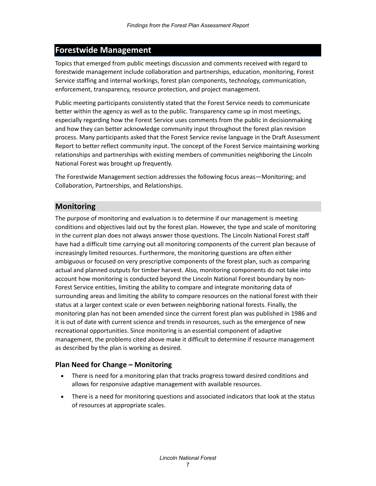### <span id="page-10-0"></span>**Forestwide Management**

Topics that emerged from public meetings discussion and comments received with regard to forestwide management include collaboration and partnerships, education, monitoring, Forest Service staffing and internal workings, forest plan components, technology, communication, enforcement, transparency, resource protection, and project management.

Public meeting participants consistently stated that the Forest Service needs to communicate better within the agency as well as to the public. Transparency came up in most meetings, especially regarding how the Forest Service uses comments from the public in decisionmaking and how they can better acknowledge community input throughout the forest plan revision process. Many participants asked that the Forest Service revise language in the Draft Assessment Report to better reflect community input. The concept of the Forest Service maintaining working relationships and partnerships with existing members of communities neighboring the Lincoln National Forest was brought up frequently.

The Forestwide Management section addresses the following focus areas—Monitoring; and Collaboration, Partnerships, and Relationships.

#### <span id="page-10-1"></span>**Monitoring**

The purpose of monitoring and evaluation is to determine if our management is meeting conditions and objectives laid out by the forest plan. However, the type and scale of monitoring in the current plan does not always answer those questions. The Lincoln National Forest staff have had a difficult time carrying out all monitoring components of the current plan because of increasingly limited resources. Furthermore, the monitoring questions are often either ambiguous or focused on very prescriptive components of the forest plan, such as comparing actual and planned outputs for timber harvest. Also, monitoring components do not take into account how monitoring is conducted beyond the Lincoln National Forest boundary by non-Forest Service entities, limiting the ability to compare and integrate monitoring data of surrounding areas and limiting the ability to compare resources on the national forest with their status at a larger context scale or even between neighboring national forests. Finally, the monitoring plan has not been amended since the current forest plan was published in 1986 and it is out of date with current science and trends in resources, such as the emergence of new recreational opportunities. Since monitoring is an essential component of adaptive management, the problems cited above make it difficult to determine if resource management as described by the plan is working as desired.

#### **Plan Need for Change – Monitoring**

- There is need for a monitoring plan that tracks progress toward desired conditions and allows for responsive adaptive management with available resources.
- There is a need for monitoring questions and associated indicators that look at the status of resources at appropriate scales.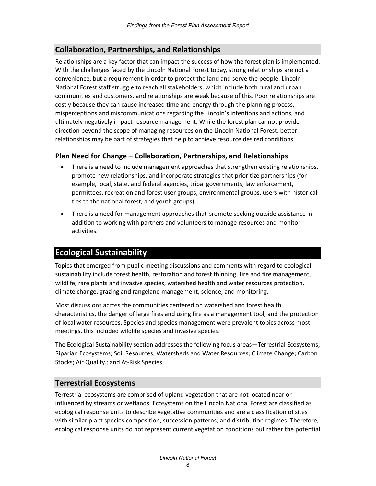#### <span id="page-11-0"></span>**Collaboration, Partnerships, and Relationships**

Relationships are a key factor that can impact the success of how the forest plan is implemented. With the challenges faced by the Lincoln National Forest today, strong relationships are not a convenience, but a requirement in order to protect the land and serve the people. Lincoln National Forest staff struggle to reach all stakeholders, which include both rural and urban communities and customers, and relationships are weak because of this. Poor relationships are costly because they can cause increased time and energy through the planning process, misperceptions and miscommunications regarding the Lincoln's intentions and actions, and ultimately negatively impact resource management. While the forest plan cannot provide direction beyond the scope of managing resources on the Lincoln National Forest, better relationships may be part of strategies that help to achieve resource desired conditions.

#### **Plan Need for Change – Collaboration, Partnerships, and Relationships**

- There is a need to include management approaches that strengthen existing relationships, promote new relationships, and incorporate strategies that prioritize partnerships (for example, local, state, and federal agencies, tribal governments, law enforcement, permittees, recreation and forest user groups, environmental groups, users with historical ties to the national forest, and youth groups).
- There is a need for management approaches that promote seeking outside assistance in addition to working with partners and volunteers to manage resources and monitor activities.

#### <span id="page-11-1"></span>**Ecological Sustainability**

Topics that emerged from public meeting discussions and comments with regard to ecological sustainability include forest health, restoration and forest thinning, fire and fire management, wildlife, rare plants and invasive species, watershed health and water resources protection, climate change, grazing and rangeland management, science, and monitoring.

Most discussions across the communities centered on watershed and forest health characteristics, the danger of large fires and using fire as a management tool, and the protection of local water resources. Species and species management were prevalent topics across most meetings, this included wildlife species and invasive species.

The Ecological Sustainability section addresses the following focus areas—Terrestrial Ecosystems; Riparian Ecosystems; Soil Resources; Watersheds and Water Resources; Climate Change; Carbon Stocks; Air Quality.; and At-Risk Species.

#### <span id="page-11-2"></span>**Terrestrial Ecosystems**

Terrestrial ecosystems are comprised of upland vegetation that are not located near or influenced by streams or wetlands. Ecosystems on the Lincoln National Forest are classified as ecological response units to describe vegetative communities and are a classification of sites with similar plant species composition, succession patterns, and distribution regimes. Therefore, ecological response units do not represent current vegetation conditions but rather the potential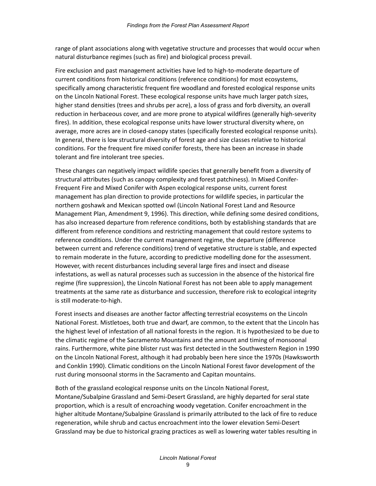range of plant associations along with vegetative structure and processes that would occur when natural disturbance regimes (such as fire) and biological process prevail.

Fire exclusion and past management activities have led to high-to-moderate departure of current conditions from historical conditions (reference conditions) for most ecosystems, specifically among characteristic frequent fire woodland and forested ecological response units on the Lincoln National Forest. These ecological response units have much larger patch sizes, higher stand densities (trees and shrubs per acre), a loss of grass and forb diversity, an overall reduction in herbaceous cover, and are more prone to atypical wildfires (generally high-severity fires). In addition, these ecological response units have lower structural diversity where, on average, more acres are in closed-canopy states (specifically forested ecological response units). In general, there is low structural diversity of forest age and size classes relative to historical conditions. For the frequent fire mixed conifer forests, there has been an increase in shade tolerant and fire intolerant tree species.

These changes can negatively impact wildlife species that generally benefit from a diversity of structural attributes (such as canopy complexity and forest patchiness). In Mixed Conifer-Frequent Fire and Mixed Conifer with Aspen ecological response units, current forest management has plan direction to provide protections for wildlife species, in particular the northern goshawk and Mexican spotted owl (Lincoln National Forest Land and Resource Management Plan, Amendment 9, 1996). This direction, while defining some desired conditions, has also increased departure from reference conditions, both by establishing standards that are different from reference conditions and restricting management that could restore systems to reference conditions. Under the current management regime, the departure (difference between current and reference conditions) trend of vegetative structure is stable, and expected to remain moderate in the future, according to predictive modelling done for the assessment. However, with recent disturbances including several large fires and insect and disease infestations, as well as natural processes such as succession in the absence of the historical fire regime (fire suppression), the Lincoln National Forest has not been able to apply management treatments at the same rate as disturbance and succession, therefore risk to ecological integrity is still moderate-to-high.

Forest insects and diseases are another factor affecting terrestrial ecosystems on the Lincoln National Forest. Mistletoes, both true and dwarf, are common, to the extent that the Lincoln has the highest level of infestation of all national forests in the region. It is hypothesized to be due to the climatic regime of the Sacramento Mountains and the amount and timing of monsoonal rains. Furthermore, white pine blister rust was first detected in the Southwestern Region in 1990 on the Lincoln National Forest, although it had probably been here since the 1970s (Hawksworth and Conklin 1990). Climatic conditions on the Lincoln National Forest favor development of the rust during monsoonal storms in the Sacramento and Capitan mountains.

Both of the grassland ecological response units on the Lincoln National Forest, Montane/Subalpine Grassland and Semi-Desert Grassland, are highly departed for seral state proportion, which is a result of encroaching woody vegetation. Conifer encroachment in the higher altitude Montane/Subalpine Grassland is primarily attributed to the lack of fire to reduce regeneration, while shrub and cactus encroachment into the lower elevation Semi-Desert Grassland may be due to historical grazing practices as well as lowering water tables resulting in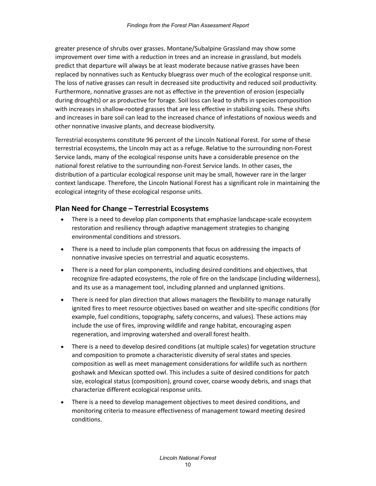greater presence of shrubs over grasses. Montane/Subalpine Grassland may show some improvement over time with a reduction in trees and an increase in grassland, but models predict that departure will always be at least moderate because native grasses have been replaced by nonnatives such as Kentucky bluegrass over much of the ecological response unit. The loss of native grasses can result in decreased site productivity and reduced soil productivity. Furthermore, nonnative grasses are not as effective in the prevention of erosion (especially during droughts) or as productive for forage. Soil loss can lead to shifts in species composition with increases in shallow-rooted grasses that are less effective in stabilizing soils. These shifts and increases in bare soil can lead to the increased chance of infestations of noxious weeds and other nonnative invasive plants, and decrease biodiversity.

Terrestrial ecosystems constitute 96 percent of the Lincoln National Forest. For some of these terrestrial ecosystems, the Lincoln may act as a refuge. Relative to the surrounding non-Forest Service lands, many of the ecological response units have a considerable presence on the national forest relative to the surrounding non-Forest Service lands. In other cases, the distribution of a particular ecological response unit may be small, however rare in the larger context landscape. Therefore, the Lincoln National Forest has a significant role in maintaining the ecological integrity of these ecological response units.

#### **Plan Need for Change – Terrestrial Ecosystems**

- There is a need to develop plan components that emphasize landscape-scale ecosystem restoration and resiliency through adaptive management strategies to changing environmental conditions and stressors.
- There is a need to include plan components that focus on addressing the impacts of nonnative invasive species on terrestrial and aquatic ecosystems.
- There is a need for plan components, including desired conditions and objectives, that recognize fire-adapted ecosystems, the role of fire on the landscape (including wilderness), and its use as a management tool, including planned and unplanned ignitions.
- There is need for plan direction that allows managers the flexibility to manage naturally ignited fires to meet resource objectives based on weather and site-specific conditions (for example, fuel conditions, topography, safety concerns, and values). These actions may include the use of fires, improving wildlife and range habitat, encouraging aspen regeneration, and improving watershed and overall forest health.
- There is a need to develop desired conditions (at multiple scales) for vegetation structure and composition to promote a characteristic diversity of seral states and species composition as well as meet management considerations for wildlife such as northern goshawk and Mexican spotted owl. This includes a suite of desired conditions for patch size, ecological status (composition), ground cover, coarse woody debris, and snags that characterize different ecological response units.
- There is a need to develop management objectives to meet desired conditions, and monitoring criteria to measure effectiveness of management toward meeting desired conditions.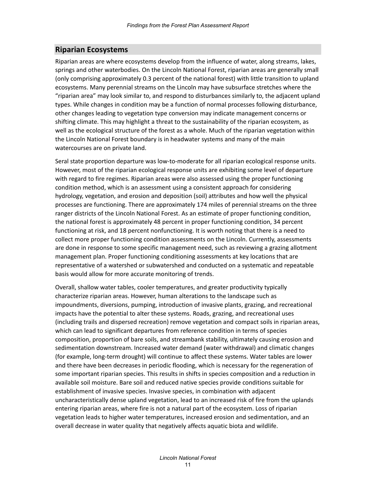#### <span id="page-14-0"></span>**Riparian Ecosystems**

Riparian areas are where ecosystems develop from the influence of water, along streams, lakes, springs and other waterbodies. On the Lincoln National Forest, riparian areas are generally small (only comprising approximately 0.3 percent of the national forest) with little transition to upland ecosystems. Many perennial streams on the Lincoln may have subsurface stretches where the "riparian area" may look similar to, and respond to disturbances similarly to, the adjacent upland types. While changes in condition may be a function of normal processes following disturbance, other changes leading to vegetation type conversion may indicate management concerns or shifting climate. This may highlight a threat to the sustainability of the riparian ecosystem, as well as the ecological structure of the forest as a whole. Much of the riparian vegetation within the Lincoln National Forest boundary is in headwater systems and many of the main watercourses are on private land.

Seral state proportion departure was low-to-moderate for all riparian ecological response units. However, most of the riparian ecological response units are exhibiting some level of departure with regard to fire regimes. Riparian areas were also assessed using the proper functioning condition method, which is an assessment using a consistent approach for considering hydrology, vegetation, and erosion and deposition (soil) attributes and how well the physical processes are functioning. There are approximately 174 miles of perennial streams on the three ranger districts of the Lincoln National Forest. As an estimate of proper functioning condition, the national forest is approximately 48 percent in proper functioning condition, 34 percent functioning at risk, and 18 percent nonfunctioning. It is worth noting that there is a need to collect more proper functioning condition assessments on the Lincoln. Currently, assessments are done in response to some specific management need, such as reviewing a grazing allotment management plan. Proper functioning conditioning assessments at key locations that are representative of a watershed or subwatershed and conducted on a systematic and repeatable basis would allow for more accurate monitoring of trends.

Overall, shallow water tables, cooler temperatures, and greater productivity typically characterize riparian areas. However, human alterations to the landscape such as impoundments, diversions, pumping, introduction of invasive plants, grazing, and recreational impacts have the potential to alter these systems. Roads, grazing, and recreational uses (including trails and dispersed recreation) remove vegetation and compact soils in riparian areas, which can lead to significant departures from reference condition in terms of species composition, proportion of bare soils, and streambank stability, ultimately causing erosion and sedimentation downstream. Increased water demand (water withdrawal) and climatic changes (for example, long-term drought) will continue to affect these systems. Water tables are lower and there have been decreases in periodic flooding, which is necessary for the regeneration of some important riparian species. This results in shifts in species composition and a reduction in available soil moisture. Bare soil and reduced native species provide conditions suitable for establishment of invasive species. Invasive species, in combination with adjacent uncharacteristically dense upland vegetation, lead to an increased risk of fire from the uplands entering riparian areas, where fire is not a natural part of the ecosystem. Loss of riparian vegetation leads to higher water temperatures, increased erosion and sedimentation, and an overall decrease in water quality that negatively affects aquatic biota and wildlife.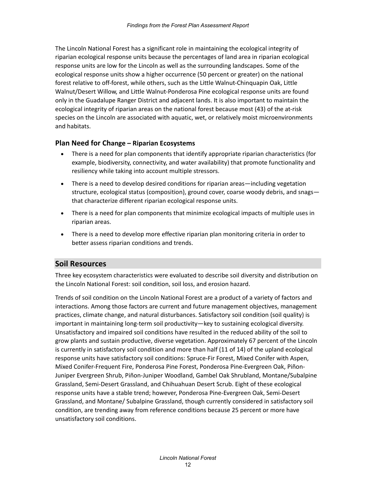The Lincoln National Forest has a significant role in maintaining the ecological integrity of riparian ecological response units because the percentages of land area in riparian ecological response units are low for the Lincoln as well as the surrounding landscapes. Some of the ecological response units show a higher occurrence (50 percent or greater) on the national forest relative to off-forest, while others, such as the Little Walnut-Chinquapin Oak, Little Walnut/Desert Willow, and Little Walnut-Ponderosa Pine ecological response units are found only in the Guadalupe Ranger District and adjacent lands. It is also important to maintain the ecological integrity of riparian areas on the national forest because most (43) of the at-risk species on the Lincoln are associated with aquatic, wet, or relatively moist microenvironments and habitats.

#### **Plan Need for Change – Riparian Ecosystems**

- There is a need for plan components that identify appropriate riparian characteristics (for example, biodiversity, connectivity, and water availability) that promote functionality and resiliency while taking into account multiple stressors.
- There is a need to develop desired conditions for riparian areas—including vegetation structure, ecological status (composition), ground cover, coarse woody debris, and snags that characterize different riparian ecological response units.
- There is a need for plan components that minimize ecological impacts of multiple uses in riparian areas.
- There is a need to develop more effective riparian plan monitoring criteria in order to better assess riparian conditions and trends.

#### <span id="page-15-0"></span>**Soil Resources**

Three key ecosystem characteristics were evaluated to describe soil diversity and distribution on the Lincoln National Forest: soil condition, soil loss, and erosion hazard.

Trends of soil condition on the Lincoln National Forest are a product of a variety of factors and interactions. Among those factors are current and future management objectives, management practices, climate change, and natural disturbances. Satisfactory soil condition (soil quality) is important in maintaining long-term soil productivity—key to sustaining ecological diversity. Unsatisfactory and impaired soil conditions have resulted in the reduced ability of the soil to grow plants and sustain productive, diverse vegetation. Approximately 67 percent of the Lincoln is currently in satisfactory soil condition and more than half (11 of 14) of the upland ecological response units have satisfactory soil conditions: Spruce-Fir Forest, Mixed Conifer with Aspen, Mixed Conifer-Frequent Fire, Ponderosa Pine Forest, Ponderosa Pine-Evergreen Oak, Piñon-Juniper Evergreen Shrub, Piñon-Juniper Woodland, Gambel Oak Shrubland, Montane/Subalpine Grassland, Semi-Desert Grassland, and Chihuahuan Desert Scrub. Eight of these ecological response units have a stable trend; however, Ponderosa Pine-Evergreen Oak, Semi-Desert Grassland, and Montane/ Subalpine Grassland, though currently considered in satisfactory soil condition, are trending away from reference conditions because 25 percent or more have unsatisfactory soil conditions.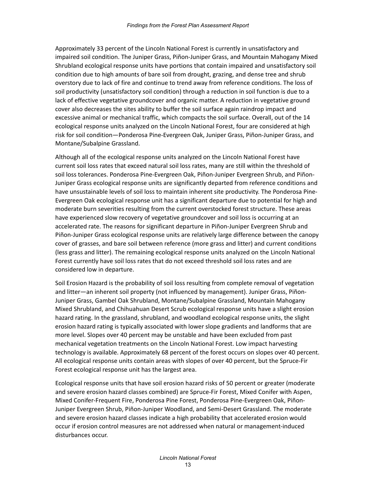Approximately 33 percent of the Lincoln National Forest is currently in unsatisfactory and impaired soil condition. The Juniper Grass, Piñon-Juniper Grass, and Mountain Mahogany Mixed Shrubland ecological response units have portions that contain impaired and unsatisfactory soil condition due to high amounts of bare soil from drought, grazing, and dense tree and shrub overstory due to lack of fire and continue to trend away from reference conditions. The loss of soil productivity (unsatisfactory soil condition) through a reduction in soil function is due to a lack of effective vegetative groundcover and organic matter. A reduction in vegetative ground cover also decreases the sites ability to buffer the soil surface again raindrop impact and excessive animal or mechanical traffic, which compacts the soil surface. Overall, out of the 14 ecological response units analyzed on the Lincoln National Forest, four are considered at high risk for soil condition—Ponderosa Pine-Evergreen Oak, Juniper Grass, Piñon-Juniper Grass, and Montane/Subalpine Grassland.

Although all of the ecological response units analyzed on the Lincoln National Forest have current soil loss rates that exceed natural soil loss rates, many are still within the threshold of soil loss tolerances. Ponderosa Pine-Evergreen Oak, Piñon-Juniper Evergreen Shrub, and Piñon-Juniper Grass ecological response units are significantly departed from reference conditions and have unsustainable levels of soil loss to maintain inherent site productivity. The Ponderosa Pine-Evergreen Oak ecological response unit has a significant departure due to potential for high and moderate burn severities resulting from the current overstocked forest structure. These areas have experienced slow recovery of vegetative groundcover and soil loss is occurring at an accelerated rate. The reasons for significant departure in Piñon-Juniper Evergreen Shrub and Piñon-Juniper Grass ecological response units are relatively large difference between the canopy cover of grasses, and bare soil between reference (more grass and litter) and current conditions (less grass and litter). The remaining ecological response units analyzed on the Lincoln National Forest currently have soil loss rates that do not exceed threshold soil loss rates and are considered low in departure.

Soil Erosion Hazard is the probability of soil loss resulting from complete removal of vegetation and litter—an inherent soil property (not influenced by management). Juniper Grass, Piñon-Juniper Grass, Gambel Oak Shrubland, Montane/Subalpine Grassland, Mountain Mahogany Mixed Shrubland, and Chihuahuan Desert Scrub ecological response units have a slight erosion hazard rating. In the grassland, shrubland, and woodland ecological response units, the slight erosion hazard rating is typically associated with lower slope gradients and landforms that are more level. Slopes over 40 percent may be unstable and have been excluded from past mechanical vegetation treatments on the Lincoln National Forest. Low impact harvesting technology is available. Approximately 68 percent of the forest occurs on slopes over 40 percent. All ecological response units contain areas with slopes of over 40 percent, but the Spruce-Fir Forest ecological response unit has the largest area.

Ecological response units that have soil erosion hazard risks of 50 percent or greater (moderate and severe erosion hazard classes combined) are Spruce-Fir Forest, Mixed Conifer with Aspen, Mixed Conifer-Frequent Fire, Ponderosa Pine Forest, Ponderosa Pine-Evergreen Oak, Piñon-Juniper Evergreen Shrub, Piñon-Juniper Woodland, and Semi-Desert Grassland. The moderate and severe erosion hazard classes indicate a high probability that accelerated erosion would occur if erosion control measures are not addressed when natural or management-induced disturbances occur.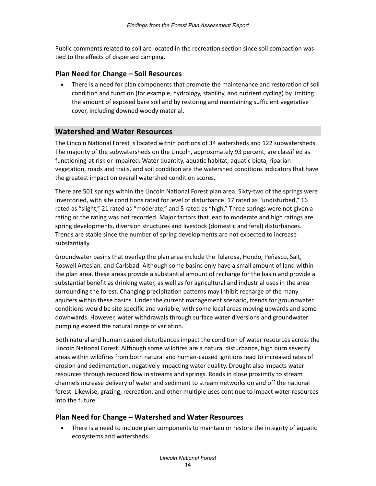Public comments related to soil are located in the recreation section since soil compaction was tied to the effects of dispersed camping.

#### **Plan Need for Change – Soil Resources**

• There is a need for plan components that promote the maintenance and restoration of soil condition and function (for example, hydrology, stability, and nutrient cycling) by limiting the amount of exposed bare soil and by restoring and maintaining sufficient vegetative cover, including downed woody material.

#### <span id="page-17-0"></span>**Watershed and Water Resources**

The Lincoln National Forest is located within portions of 34 watersheds and 122 subwatersheds. The majority of the subwatersheds on the Lincoln, approximately 93 percent, are classified as functioning-at-risk or impaired. Water quantity, aquatic habitat, aquatic biota, riparian vegetation, roads and trails, and soil condition are the watershed conditions indicators that have the greatest impact on overall watershed condition scores.

There are 501 springs within the Lincoln National Forest plan area. Sixty-two of the springs were inventoried, with site conditions rated for level of disturbance: 17 rated as "undisturbed," 16 rated as "slight," 21 rated as "moderate," and 5 rated as "high." Three springs were not given a rating or the rating was not recorded. Major factors that lead to moderate and high ratings are spring developments, diversion structures and livestock (domestic and feral) disturbances. Trends are stable since the number of spring developments are not expected to increase substantially.

Groundwater basins that overlap the plan area include the Tularosa, Hondo, Peñasco, Salt, Roswell Artesian, and Carlsbad. Although some basins only have a small amount of land within the plan area, these areas provide a substantial amount of recharge for the basin and provide a substantial benefit as drinking water, as well as for agricultural and industrial uses in the area surrounding the forest. Changing precipitation patterns may inhibit recharge of the many aquifers within these basins. Under the current management scenario, trends for groundwater conditions would be site specific and variable, with some local areas moving upwards and some downwards. However, water withdrawals through surface water diversions and groundwater pumping exceed the natural range of variation.

Both natural and human caused disturbances impact the condition of water resources across the Lincoln National Forest. Although some wildfires are a natural disturbance, high burn severity areas within wildfires from both natural and human-caused ignitions lead to increased rates of erosion and sedimentation, negatively impacting water quality. Drought also impacts water resources through reduced flow in streams and springs. Roads in close proximity to stream channels increase delivery of water and sediment to stream networks on and off the national forest. Likewise, grazing, recreation, and other multiple uses continue to impact water resources into the future.

#### **Plan Need for Change – Watershed and Water Resources**

• There is a need to include plan components to maintain or restore the integrity of aquatic ecosystems and watersheds.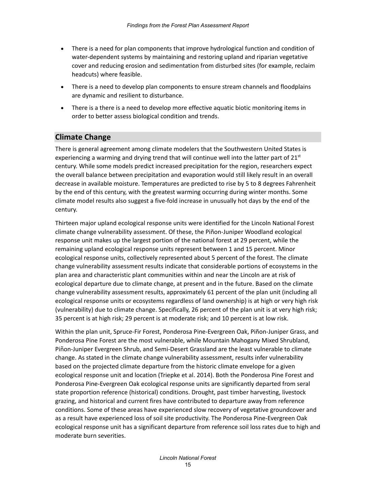- There is a need for plan components that improve hydrological function and condition of water-dependent systems by maintaining and restoring upland and riparian vegetative cover and reducing erosion and sedimentation from disturbed sites (for example, reclaim headcuts) where feasible.
- There is a need to develop plan components to ensure stream channels and floodplains are dynamic and resilient to disturbance.
- There is a there is a need to develop more effective aquatic biotic monitoring items in order to better assess biological condition and trends.

#### <span id="page-18-0"></span>**Climate Change**

There is general agreement among climate modelers that the Southwestern United States is experiencing a warming and drying trend that will continue well into the latter part of  $21^{st}$ century. While some models predict increased precipitation for the region, researchers expect the overall balance between precipitation and evaporation would still likely result in an overall decrease in available moisture. Temperatures are predicted to rise by 5 to 8 degrees Fahrenheit by the end of this century, with the greatest warming occurring during winter months. Some climate model results also suggest a five-fold increase in unusually hot days by the end of the century.

Thirteen major upland ecological response units were identified for the Lincoln National Forest climate change vulnerability assessment. Of these, the Piñon-Juniper Woodland ecological response unit makes up the largest portion of the national forest at 29 percent, while the remaining upland ecological response units represent between 1 and 15 percent. Minor ecological response units, collectively represented about 5 percent of the forest. The climate change vulnerability assessment results indicate that considerable portions of ecosystems in the plan area and characteristic plant communities within and near the Lincoln are at risk of ecological departure due to climate change, at present and in the future. Based on the climate change vulnerability assessment results, approximately 61 percent of the plan unit (including all ecological response units or ecosystems regardless of land ownership) is at high or very high risk (vulnerability) due to climate change. Specifically, 26 percent of the plan unit is at very high risk; 35 percent is at high risk; 29 percent is at moderate risk; and 10 percent is at low risk.

Within the plan unit, Spruce-Fir Forest, Ponderosa Pine-Evergreen Oak, Pin͂on-Juniper Grass, and Ponderosa Pine Forest are the most vulnerable, while Mountain Mahogany Mixed Shrubland, Piñon-Juniper Evergreen Shrub, and Semi-Desert Grassland are the least vulnerable to climate change. As stated in the climate change vulnerability assessment, results infer vulnerability based on the projected climate departure from the historic climate envelope for a given ecological response unit and location (Triepke et al. 2014). Both the Ponderosa Pine Forest and Ponderosa Pine-Evergreen Oak ecological response units are significantly departed from seral state proportion reference (historical) conditions. Drought, past timber harvesting, livestock grazing, and historical and current fires have contributed to departure away from reference conditions. Some of these areas have experienced slow recovery of vegetative groundcover and as a result have experienced loss of soil site productivity. The Ponderosa Pine-Evergreen Oak ecological response unit has a significant departure from reference soil loss rates due to high and moderate burn severities.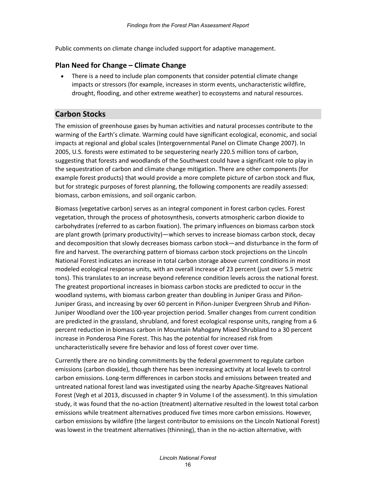Public comments on climate change included support for adaptive management.

#### **Plan Need for Change – Climate Change**

• There is a need to include plan components that consider potential climate change impacts or stressors (for example, increases in storm events, uncharacteristic wildfire, drought, flooding, and other extreme weather) to ecosystems and natural resources.

#### <span id="page-19-0"></span>**Carbon Stocks**

The emission of greenhouse gases by human activities and natural processes contribute to the warming of the Earth's climate. Warming could have significant ecological, economic, and social impacts at regional and global scales (Intergovernmental Panel on Climate Change 2007). In 2005, U.S. forests were estimated to be sequestering nearly 220.5 million tons of carbon, suggesting that forests and woodlands of the Southwest could have a significant role to play in the sequestration of carbon and climate change mitigation. There are other components (for example forest products) that would provide a more complete picture of carbon stock and flux, but for strategic purposes of forest planning, the following components are readily assessed: biomass, carbon emissions, and soil organic carbon.

Biomass (vegetative carbon) serves as an integral component in forest carbon cycles. Forest vegetation, through the process of photosynthesis, converts atmospheric carbon dioxide to carbohydrates (referred to as carbon fixation). The primary influences on biomass carbon stock are plant growth (primary productivity)—which serves to increase biomass carbon stock, decay and decomposition that slowly decreases biomass carbon stock—and disturbance in the form of fire and harvest. The overarching pattern of biomass carbon stock projections on the Lincoln National Forest indicates an increase in total carbon storage above current conditions in most modeled ecological response units, with an overall increase of 23 percent (just over 5.5 metric tons). This translates to an increase beyond reference condition levels across the national forest. The greatest proportional increases in biomass carbon stocks are predicted to occur in the woodland systems, with biomass carbon greater than doubling in Juniper Grass and Piñon-Juniper Grass, and increasing by over 60 percent in Piñon-Juniper Evergreen Shrub and Piñon-Juniper Woodland over the 100-year projection period. Smaller changes from current condition are predicted in the grassland, shrubland, and forest ecological response units, ranging from a 6 percent reduction in biomass carbon in Mountain Mahogany Mixed Shrubland to a 30 percent increase in Ponderosa Pine Forest. This has the potential for increased risk from uncharacteristically severe fire behavior and loss of forest cover over time.

Currently there are no binding commitments by the federal government to regulate carbon emissions (carbon dioxide), though there has been increasing activity at local levels to control carbon emissions. Long-term differences in carbon stocks and emissions between treated and untreated national forest land was investigated using the nearby Apache-Sitgreaves National Forest (Vegh et al 2013, discussed in chapter 9 in Volume I of the assessment). In this simulation study, it was found that the no-action (treatment) alternative resulted in the lowest total carbon emissions while treatment alternatives produced five times more carbon emissions. However, carbon emissions by wildfire (the largest contributor to emissions on the Lincoln National Forest) was lowest in the treatment alternatives (thinning), than in the no-action alternative, with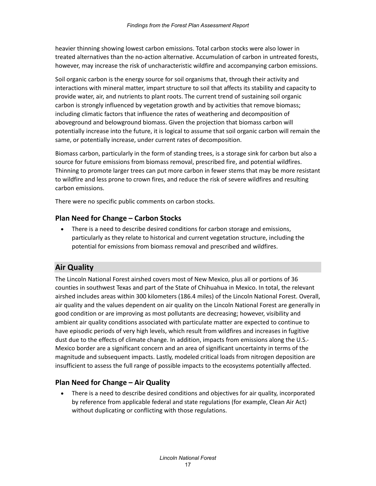heavier thinning showing lowest carbon emissions. Total carbon stocks were also lower in treated alternatives than the no-action alternative. Accumulation of carbon in untreated forests, however, may increase the risk of uncharacteristic wildfire and accompanying carbon emissions.

Soil organic carbon is the energy source for soil organisms that, through their activity and interactions with mineral matter, impart structure to soil that affects its stability and capacity to provide water, air, and nutrients to plant roots. The current trend of sustaining soil organic carbon is strongly influenced by vegetation growth and by activities that remove biomass; including climatic factors that influence the rates of weathering and decomposition of aboveground and belowground biomass. Given the projection that biomass carbon will potentially increase into the future, it is logical to assume that soil organic carbon will remain the same, or potentially increase, under current rates of decomposition.

Biomass carbon, particularly in the form of standing trees, is a storage sink for carbon but also a source for future emissions from biomass removal, prescribed fire, and potential wildfires. Thinning to promote larger trees can put more carbon in fewer stems that may be more resistant to wildfire and less prone to crown fires, and reduce the risk of severe wildfires and resulting carbon emissions.

There were no specific public comments on carbon stocks.

#### **Plan Need for Change – Carbon Stocks**

• There is a need to describe desired conditions for carbon storage and emissions, particularly as they relate to historical and current vegetation structure, including the potential for emissions from biomass removal and prescribed and wildfires.

#### <span id="page-20-0"></span>**Air Quality**

The Lincoln National Forest airshed covers most of New Mexico, plus all or portions of 36 counties in southwest Texas and part of the State of Chihuahua in Mexico. In total, the relevant airshed includes areas within 300 kilometers (186.4 miles) of the Lincoln National Forest. Overall, air quality and the values dependent on air quality on the Lincoln National Forest are generally in good condition or are improving as most pollutants are decreasing; however, visibility and ambient air quality conditions associated with particulate matter are expected to continue to have episodic periods of very high levels, which result from wildfires and increases in fugitive dust due to the effects of climate change. In addition, impacts from emissions along the U.S.- Mexico border are a significant concern and an area of significant uncertainty in terms of the magnitude and subsequent impacts. Lastly, modeled critical loads from nitrogen deposition are insufficient to assess the full range of possible impacts to the ecosystems potentially affected.

#### **Plan Need for Change – Air Quality**

• There is a need to describe desired conditions and objectives for air quality, incorporated by reference from applicable federal and state regulations (for example, Clean Air Act) without duplicating or conflicting with those regulations.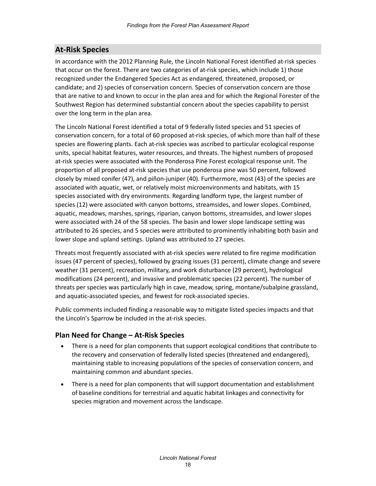### <span id="page-21-0"></span>**At-Risk Species**

In accordance with the 2012 Planning Rule, the Lincoln National Forest identified at-risk species that occur on the forest. There are two categories of at-risk species, which include 1) those recognized under the Endangered Species Act as endangered, threatened, proposed, or candidate; and 2) species of conservation concern. Species of conservation concern are those that are native to and known to occur in the plan area and for which the Regional Forester of the Southwest Region has determined substantial concern about the species capability to persist over the long term in the plan area.

The Lincoln National Forest identified a total of 9 federally listed species and 51 species of conservation concern, for a total of 60 proposed at-risk species, of which more than half of these species are flowering plants. Each at-risk species was ascribed to particular ecological response units, special habitat features, water resources, and threats. The highest numbers of proposed at-risk species were associated with the Ponderosa Pine Forest ecological response unit. The proportion of all proposed at-risk species that use ponderosa pine was 50 percent, followed closely by mixed conifer (47), and piñon-juniper (40). Furthermore, most (43) of the species are associated with aquatic, wet, or relatively moist microenvironments and habitats, with 15 species associated with dry environments. Regarding landform type, the largest number of species (12) were associated with canyon bottoms, streamsides, and lower slopes. Combined, aquatic, meadows, marshes, springs, riparian, canyon bottoms, streamsides, and lower slopes were associated with 24 of the 58 species. The basin and lower slope landscape setting was attributed to 26 species, and 5 species were attributed to prominently inhabiting both basin and lower slope and upland settings. Upland was attributed to 27 species.

Threats most frequently associated with at-risk species were related to fire regime modification issues (47 percent of species), followed by grazing issues (31 percent), climate change and severe weather (31 percent), recreation, military, and work disturbance (29 percent), hydrological modifications (24 percent), and invasive and problematic species (22 percent). The number of threats per species was particularly high in cave, meadow, spring, montane/subalpine grassland, and aquatic-associated species, and fewest for rock-associated species.

Public comments included finding a reasonable way to mitigate listed species impacts and that the Lincoln's Sparrow be included in the at-risk species.

#### **Plan Need for Change – At-Risk Species**

- There is a need for plan components that support ecological conditions that contribute to the recovery and conservation of federally listed species (threatened and endangered), maintaining stable to increasing populations of the species of conservation concern, and maintaining common and abundant species.
- There is a need for plan components that will support documentation and establishment of baseline conditions for terrestrial and aquatic habitat linkages and connectivity for species migration and movement across the landscape.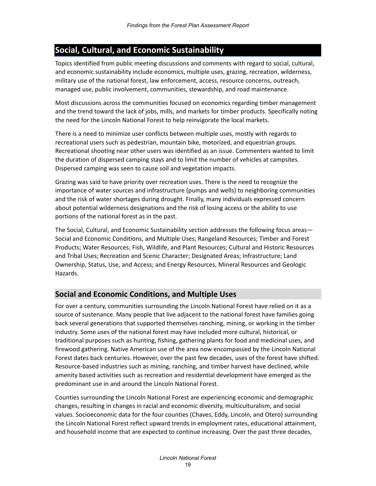### <span id="page-22-0"></span>**Social, Cultural, and Economic Sustainability**

Topics identified from public meeting discussions and comments with regard to social, cultural, and economic sustainability include economics, multiple uses, grazing, recreation, wilderness, military use of the national forest, law enforcement, access, resource concerns, outreach, managed use, public involvement, communities, stewardship, and road maintenance.

Most discussions across the communities focused on economics regarding timber management and the trend toward the lack of jobs, mills, and markets for timber products. Specifically noting the need for the Lincoln National Forest to help reinvigorate the local markets.

There is a need to minimize user conflicts between multiple uses, mostly with regards to recreational users such as pedestrian, mountain bike, motorized, and equestrian groups. Recreational shooting near other users was identified as an issue. Commenters wanted to limit the duration of dispersed camping stays and to limit the number of vehicles at campsites. Dispersed camping was seen to cause soil and vegetation impacts.

Grazing was said to have priority over recreation uses. There is the need to recognize the importance of water sources and infrastructure (pumps and wells) to neighboring communities and the risk of water shortages during drought. Finally, many individuals expressed concern about potential wilderness designations and the risk of losing access or the ability to use portions of the national forest as in the past.

The Social, Cultural, and Economic Sustainability section addresses the following focus areas— Social and Economic Conditions, and Multiple Uses; Rangeland Resources; Timber and Forest Products; Water Resources; Fish, Wildlife, and Plant Resources; Cultural and Historic Resources and Tribal Uses; Recreation and Scenic Character; Designated Areas; Infrastructure; Land Ownership, Status, Use, and Access; and Energy Resources, Mineral Resources and Geologic Hazards.

#### <span id="page-22-1"></span>**Social and Economic Conditions, and Multiple Uses**

For over a century, communities surrounding the Lincoln National Forest have relied on it as a source of sustenance. Many people that live adjacent to the national forest have families going back several generations that supported themselves ranching, mining, or working in the timber industry. Some uses of the national forest may have included more cultural, historical, or traditional purposes such as hunting, fishing, gathering plants for food and medicinal uses, and firewood gathering. Native American use of the area now encompassed by the Lincoln National Forest dates back centuries. However, over the past few decades, uses of the forest have shifted. Resource-based industries such as mining, ranching, and timber harvest have declined, while amenity based activities such as recreation and residential development have emerged as the predominant use in and around the Lincoln National Forest.

Counties surrounding the Lincoln National Forest are experiencing economic and demographic changes, resulting in changes in racial and economic diversity, multiculturalism, and social values. Socioeconomic data for the four counties (Chaves, Eddy, Lincoln, and Otero) surrounding the Lincoln National Forest reflect upward trends in employment rates, educational attainment, and household income that are expected to continue increasing. Over the past three decades,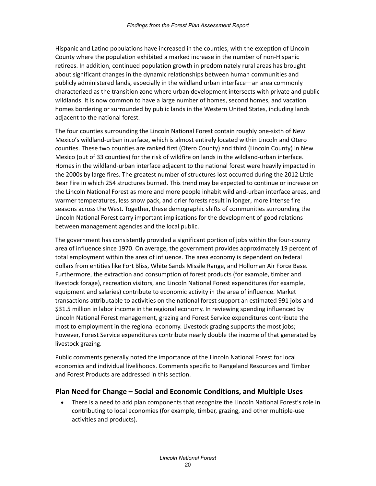Hispanic and Latino populations have increased in the counties, with the exception of Lincoln County where the population exhibited a marked increase in the number of non-Hispanic retirees. In addition, continued population growth in predominately rural areas has brought about significant changes in the dynamic relationships between human communities and publicly administered lands, especially in the wildland urban interface—an area commonly characterized as the transition zone where urban development intersects with private and public wildlands. It is now common to have a large number of homes, second homes, and vacation homes bordering or surrounded by public lands in the Western United States, including lands adjacent to the national forest.

The four counties surrounding the Lincoln National Forest contain roughly one-sixth of New Mexico's wildland-urban interface, which is almost entirely located within Lincoln and Otero counties. These two counties are ranked first (Otero County) and third (Lincoln County) in New Mexico (out of 33 counties) for the risk of wildfire on lands in the wildland-urban interface. Homes in the wildland-urban interface adjacent to the national forest were heavily impacted in the 2000s by large fires. The greatest number of structures lost occurred during the 2012 Little Bear Fire in which 254 structures burned. This trend may be expected to continue or increase on the Lincoln National Forest as more and more people inhabit wildland-urban interface areas, and warmer temperatures, less snow pack, and drier forests result in longer, more intense fire seasons across the West. Together, these demographic shifts of communities surrounding the Lincoln National Forest carry important implications for the development of good relations between management agencies and the local public.

The government has consistently provided a significant portion of jobs within the four-county area of influence since 1970. On average, the government provides approximately 19 percent of total employment within the area of influence. The area economy is dependent on federal dollars from entities like Fort Bliss, White Sands Missile Range, and Holloman Air Force Base. Furthermore, the extraction and consumption of forest products (for example, timber and livestock forage), recreation visitors, and Lincoln National Forest expenditures (for example, equipment and salaries) contribute to economic activity in the area of influence. Market transactions attributable to activities on the national forest support an estimated 991 jobs and \$31.5 million in labor income in the regional economy. In reviewing spending influenced by Lincoln National Forest management, grazing and Forest Service expenditures contribute the most to employment in the regional economy. Livestock grazing supports the most jobs; however, Forest Service expenditures contribute nearly double the income of that generated by livestock grazing.

Public comments generally noted the importance of the Lincoln National Forest for local economics and individual livelihoods. Comments specific to Rangeland Resources and Timber and Forest Products are addressed in this section.

#### **Plan Need for Change – Social and Economic Conditions, and Multiple Uses**

• There is a need to add plan components that recognize the Lincoln National Forest's role in contributing to local economies (for example, timber, grazing, and other multiple-use activities and products).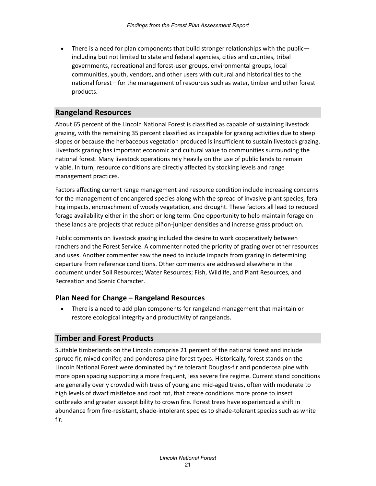• There is a need for plan components that build stronger relationships with the public including but not limited to state and federal agencies, cities and counties, tribal governments, recreational and forest-user groups, environmental groups, local communities, youth, vendors, and other users with cultural and historical ties to the national forest—for the management of resources such as water, timber and other forest products.

#### <span id="page-24-0"></span>**Rangeland Resources**

About 65 percent of the Lincoln National Forest is classified as capable of sustaining livestock grazing, with the remaining 35 percent classified as incapable for grazing activities due to steep slopes or because the herbaceous vegetation produced is insufficient to sustain livestock grazing. Livestock grazing has important economic and cultural value to communities surrounding the national forest. Many livestock operations rely heavily on the use of public lands to remain viable. In turn, resource conditions are directly affected by stocking levels and range management practices.

Factors affecting current range management and resource condition include increasing concerns for the management of endangered species along with the spread of invasive plant species, feral hog impacts, encroachment of woody vegetation, and drought. These factors all lead to reduced forage availability either in the short or long term. One opportunity to help maintain forage on these lands are projects that reduce piñon-juniper densities and increase grass production.

Public comments on livestock grazing included the desire to work cooperatively between ranchers and the Forest Service. A commenter noted the priority of grazing over other resources and uses. Another commenter saw the need to include impacts from grazing in determining departure from reference conditions. Other comments are addressed elsewhere in the document under Soil Resources; Water Resources; Fish, Wildlife, and Plant Resources, and Recreation and Scenic Character.

#### **Plan Need for Change – Rangeland Resources**

• There is a need to add plan components for rangeland management that maintain or restore ecological integrity and productivity of rangelands.

#### <span id="page-24-1"></span>**Timber and Forest Products**

Suitable timberlands on the Lincoln comprise 21 percent of the national forest and include spruce fir, mixed conifer, and ponderosa pine forest types. Historically, forest stands on the Lincoln National Forest were dominated by fire tolerant Douglas-fir and ponderosa pine with more open spacing supporting a more frequent, less severe fire regime. Current stand conditions are generally overly crowded with trees of young and mid-aged trees, often with moderate to high levels of dwarf mistletoe and root rot, that create conditions more prone to insect outbreaks and greater susceptibility to crown fire. Forest trees have experienced a shift in abundance from fire-resistant, shade-intolerant species to shade-tolerant species such as white fir.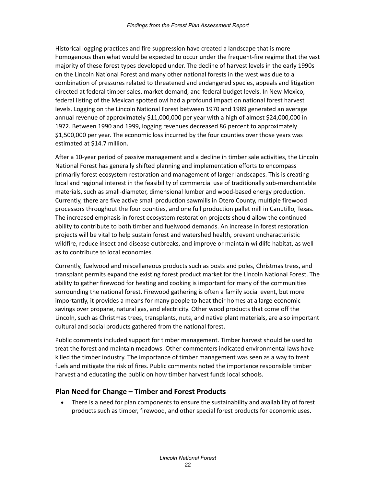Historical logging practices and fire suppression have created a landscape that is more homogenous than what would be expected to occur under the frequent-fire regime that the vast majority of these forest types developed under. The decline of harvest levels in the early 1990s on the Lincoln National Forest and many other national forests in the west was due to a combination of pressures related to threatened and endangered species, appeals and litigation directed at federal timber sales, market demand, and federal budget levels. In New Mexico, federal listing of the Mexican spotted owl had a profound impact on national forest harvest levels. Logging on the Lincoln National Forest between 1970 and 1989 generated an average annual revenue of approximately \$11,000,000 per year with a high of almost \$24,000,000 in 1972. Between 1990 and 1999, logging revenues decreased 86 percent to approximately \$1,500,000 per year. The economic loss incurred by the four counties over those years was estimated at \$14.7 million.

After a 10-year period of passive management and a decline in timber sale activities, the Lincoln National Forest has generally shifted planning and implementation efforts to encompass primarily forest ecosystem restoration and management of larger landscapes. This is creating local and regional interest in the feasibility of commercial use of traditionally sub-merchantable materials, such as small-diameter, dimensional lumber and wood-based energy production. Currently, there are five active small production sawmills in Otero County, multiple firewood processors throughout the four counties, and one full production pallet mill in Canutillo, Texas. The increased emphasis in forest ecosystem restoration projects should allow the continued ability to contribute to both timber and fuelwood demands. An increase in forest restoration projects will be vital to help sustain forest and watershed health, prevent uncharacteristic wildfire, reduce insect and disease outbreaks, and improve or maintain wildlife habitat, as well as to contribute to local economies.

Currently, fuelwood and miscellaneous products such as posts and poles, Christmas trees, and transplant permits expand the existing forest product market for the Lincoln National Forest. The ability to gather firewood for heating and cooking is important for many of the communities surrounding the national forest. Firewood gathering is often a family social event, but more importantly, it provides a means for many people to heat their homes at a large economic savings over propane, natural gas, and electricity. Other wood products that come off the Lincoln, such as Christmas trees, transplants, nuts, and native plant materials, are also important cultural and social products gathered from the national forest.

Public comments included support for timber management. Timber harvest should be used to treat the forest and maintain meadows. Other commenters indicated environmental laws have killed the timber industry. The importance of timber management was seen as a way to treat fuels and mitigate the risk of fires. Public comments noted the importance responsible timber harvest and educating the public on how timber harvest funds local schools.

#### **Plan Need for Change – Timber and Forest Products**

• There is a need for plan components to ensure the sustainability and availability of forest products such as timber, firewood, and other special forest products for economic uses.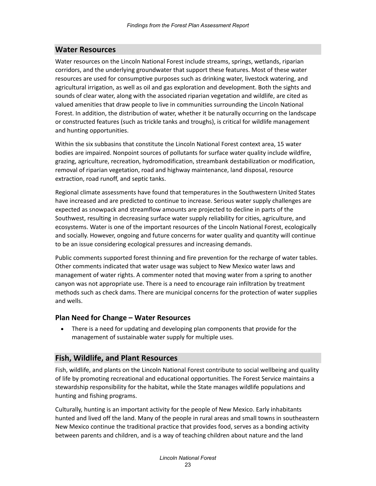#### <span id="page-26-0"></span>**Water Resources**

Water resources on the Lincoln National Forest include streams, springs, wetlands, riparian corridors, and the underlying groundwater that support these features. Most of these water resources are used for consumptive purposes such as drinking water, livestock watering, and agricultural irrigation, as well as oil and gas exploration and development. Both the sights and sounds of clear water, along with the associated riparian vegetation and wildlife, are cited as valued amenities that draw people to live in communities surrounding the Lincoln National Forest. In addition, the distribution of water, whether it be naturally occurring on the landscape or constructed features (such as trickle tanks and troughs), is critical for wildlife management and hunting opportunities.

Within the six subbasins that constitute the Lincoln National Forest context area, 15 water bodies are impaired. Nonpoint sources of pollutants for surface water quality include wildfire, grazing, agriculture, recreation, hydromodification, streambank destabilization or modification, removal of riparian vegetation, road and highway maintenance, land disposal, resource extraction, road runoff, and septic tanks.

Regional climate assessments have found that temperatures in the Southwestern United States have increased and are predicted to continue to increase. Serious water supply challenges are expected as snowpack and streamflow amounts are projected to decline in parts of the Southwest, resulting in decreasing surface water supply reliability for cities, agriculture, and ecosystems. Water is one of the important resources of the Lincoln National Forest, ecologically and socially. However, ongoing and future concerns for water quality and quantity will continue to be an issue considering ecological pressures and increasing demands.

Public comments supported forest thinning and fire prevention for the recharge of water tables. Other comments indicated that water usage was subject to New Mexico water laws and management of water rights. A commenter noted that moving water from a spring to another canyon was not appropriate use. There is a need to encourage rain infiltration by treatment methods such as check dams. There are municipal concerns for the protection of water supplies and wells.

#### **Plan Need for Change – Water Resources**

• There is a need for updating and developing plan components that provide for the management of sustainable water supply for multiple uses.

#### <span id="page-26-1"></span>**Fish, Wildlife, and Plant Resources**

Fish, wildlife, and plants on the Lincoln National Forest contribute to social wellbeing and quality of life by promoting recreational and educational opportunities. The Forest Service maintains a stewardship responsibility for the habitat, while the State manages wildlife populations and hunting and fishing programs.

Culturally, hunting is an important activity for the people of New Mexico. Early inhabitants hunted and lived off the land. Many of the people in rural areas and small towns in southeastern New Mexico continue the traditional practice that provides food, serves as a bonding activity between parents and children, and is a way of teaching children about nature and the land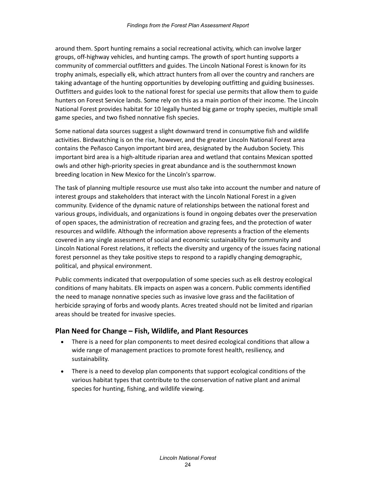around them. Sport hunting remains a social recreational activity, which can involve larger groups, off-highway vehicles, and hunting camps. The growth of sport hunting supports a community of commercial outfitters and guides. The Lincoln National Forest is known for its trophy animals, especially elk, which attract hunters from all over the country and ranchers are taking advantage of the hunting opportunities by developing outfitting and guiding businesses. Outfitters and guides look to the national forest for special use permits that allow them to guide hunters on Forest Service lands. Some rely on this as a main portion of their income. The Lincoln National Forest provides habitat for 10 legally hunted big game or trophy species, multiple small game species, and two fished nonnative fish species.

Some national data sources suggest a slight downward trend in consumptive fish and wildlife activities. Birdwatching is on the rise, however, and the greater Lincoln National Forest area contains the Peñasco Canyon important bird area, designated by the Audubon Society. This important bird area is a high-altitude riparian area and wetland that contains Mexican spotted owls and other high-priority species in great abundance and is the southernmost known breeding location in New Mexico for the Lincoln's sparrow.

The task of planning multiple resource use must also take into account the number and nature of interest groups and stakeholders that interact with the Lincoln National Forest in a given community. Evidence of the dynamic nature of relationships between the national forest and various groups, individuals, and organizations is found in ongoing debates over the preservation of open spaces, the administration of recreation and grazing fees, and the protection of water resources and wildlife. Although the information above represents a fraction of the elements covered in any single assessment of social and economic sustainability for community and Lincoln National Forest relations, it reflects the diversity and urgency of the issues facing national forest personnel as they take positive steps to respond to a rapidly changing demographic, political, and physical environment.

Public comments indicated that overpopulation of some species such as elk destroy ecological conditions of many habitats. Elk impacts on aspen was a concern. Public comments identified the need to manage nonnative species such as invasive love grass and the facilitation of herbicide spraying of forbs and woody plants. Acres treated should not be limited and riparian areas should be treated for invasive species.

#### **Plan Need for Change – Fish, Wildlife, and Plant Resources**

- There is a need for plan components to meet desired ecological conditions that allow a wide range of management practices to promote forest health, resiliency, and sustainability.
- There is a need to develop plan components that support ecological conditions of the various habitat types that contribute to the conservation of native plant and animal species for hunting, fishing, and wildlife viewing.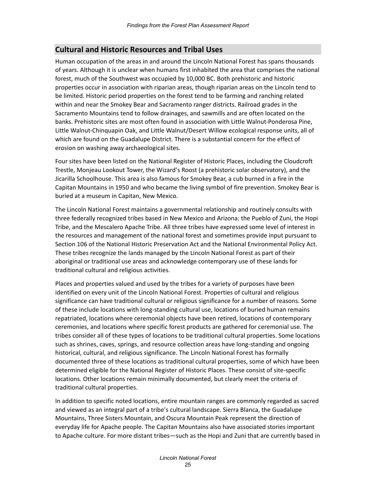#### <span id="page-28-0"></span>**Cultural and Historic Resources and Tribal Uses**

Human occupation of the areas in and around the Lincoln National Forest has spans thousands of years. Although it is unclear when humans first inhabited the area that comprises the national forest, much of the Southwest was occupied by 10,000 BC. Both prehistoric and historic properties occur in association with riparian areas, though riparian areas on the Lincoln tend to be limited. Historic period properties on the forest tend to be farming and ranching related within and near the Smokey Bear and Sacramento ranger districts. Railroad grades in the Sacramento Mountains tend to follow drainages, and sawmills and are often located on the banks. Prehistoric sites are most often found in association with Little Walnut-Ponderosa Pine, Little Walnut-Chinquapin Oak, and Little Walnut/Desert Willow ecological response units, all of which are found on the Guadalupe District. There is a substantial concern for the effect of erosion on washing away archaeological sites.

Four sites have been listed on the National Register of Historic Places, including the Cloudcroft Trestle, Monjeau Lookout Tower, the Wizard's Roost (a prehistoric solar observatory), and the Jicarilla Schoolhouse. This area is also famous for Smokey Bear, a cub burned in a fire in the Capitan Mountains in 1950 and who became the living symbol of fire prevention. Smokey Bear is buried at a museum in Capitan, New Mexico.

The Lincoln National Forest maintains a governmental relationship and routinely consults with three federally recognized tribes based in New Mexico and Arizona: the Pueblo of Zuni, the Hopi Tribe, and the Mescalero Apache Tribe. All three tribes have expressed some level of interest in the resources and management of the national forest and sometimes provide input pursuant to Section 106 of the National Historic Preservation Act and the National Environmental Policy Act. These tribes recognize the lands managed by the Lincoln National Forest as part of their aboriginal or traditional use areas and acknowledge contemporary use of these lands for traditional cultural and religious activities.

Places and properties valued and used by the tribes for a variety of purposes have been identified on every unit of the Lincoln National Forest. Properties of cultural and religious significance can have traditional cultural or religious significance for a number of reasons. Some of these include locations with long-standing cultural use, locations of buried human remains repatriated, locations where ceremonial objects have been retired, locations of contemporary ceremonies, and locations where specific forest products are gathered for ceremonial use. The tribes consider all of these types of locations to be traditional cultural properties. Some locations such as shrines, caves, springs, and resource collection areas have long-standing and ongoing historical, cultural, and religious significance. The Lincoln National Forest has formally documented three of these locations as traditional cultural properties, some of which have been determined eligible for the National Register of Historic Places. These consist of site-specific locations. Other locations remain minimally documented, but clearly meet the criteria of traditional cultural properties.

In addition to specific noted locations, entire mountain ranges are commonly regarded as sacred and viewed as an integral part of a tribe's cultural landscape. Sierra Blanca, the Guadalupe Mountains, Three Sisters Mountain, and Oscura Mountain Peak represent the direction of everyday life for Apache people. The Capitan Mountains also have associated stories important to Apache culture. For more distant tribes—such as the Hopi and Zuni that are currently based in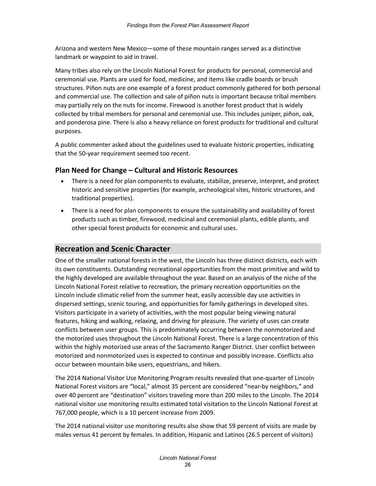Arizona and western New Mexico—some of these mountain ranges served as a distinctive landmark or waypoint to aid in travel.

Many tribes also rely on the Lincoln National Forest for products for personal, commercial and ceremonial use. Plants are used for food, medicine, and items like cradle boards or brush structures. Piñon nuts are one example of a forest product commonly gathered for both personal and commercial use. The collection and sale of piñon nuts is important because tribal members may partially rely on the nuts for income. Firewood is another forest product that is widely collected by tribal members for personal and ceremonial use. This includes juniper, piñon, oak, and ponderosa pine. There is also a heavy reliance on forest products for traditional and cultural purposes.

A public commenter asked about the guidelines used to evaluate historic properties, indicating that the 50-year requirement seemed too recent.

#### **Plan Need for Change – Cultural and Historic Resources**

- There is a need for plan components to evaluate, stabilize, preserve, interpret, and protect historic and sensitive properties (for example, archeological sites, historic structures, and traditional properties).
- There is a need for plan components to ensure the sustainability and availability of forest products such as timber, firewood, medicinal and ceremonial plants, edible plants, and other special forest products for economic and cultural uses.

#### <span id="page-29-0"></span>**Recreation and Scenic Character**

One of the smaller national forests in the west, the Lincoln has three distinct districts, each with its own constituents. Outstanding recreational opportunities from the most primitive and wild to the highly developed are available throughout the year. Based on an analysis of the niche of the Lincoln National Forest relative to recreation, the primary recreation opportunities on the Lincoln include climatic relief from the summer heat, easily accessible day use activities in dispersed settings, scenic touring, and opportunities for family gatherings in developed sites. Visitors participate in a variety of activities, with the most popular being viewing natural features, hiking and walking, relaxing, and driving for pleasure. The variety of uses can create conflicts between user groups. This is predominately occurring between the nonmotorized and the motorized uses throughout the Lincoln National Forest. There is a large concentration of this within the highly motorized use areas of the Sacramento Ranger District. User conflict between motorized and nonmotorized uses is expected to continue and possibly increase. Conflicts also occur between mountain bike users, equestrians, and hikers.

The 2014 National Visitor Use Monitoring Program results revealed that one-quarter of Lincoln National Forest visitors are "local," almost 35 percent are considered "near-by neighbors," and over 40 percent are "destination" visitors traveling more than 200 miles to the Lincoln. The 2014 national visitor use monitoring results estimated total visitation to the Lincoln National Forest at 767,000 people, which is a 10 percent increase from 2009.

The 2014 national visitor use monitoring results also show that 59 percent of visits are made by males versus 41 percent by females. In addition, Hispanic and Latinos (26.5 percent of visitors)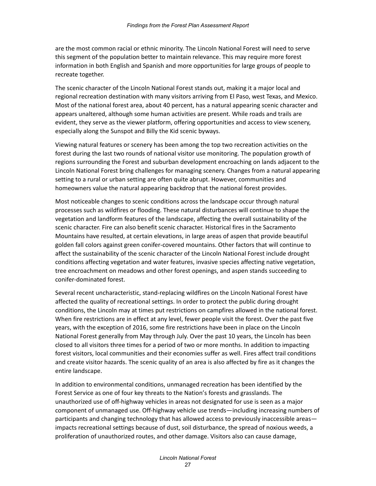are the most common racial or ethnic minority. The Lincoln National Forest will need to serve this segment of the population better to maintain relevance. This may require more forest information in both English and Spanish and more opportunities for large groups of people to recreate together.

The scenic character of the Lincoln National Forest stands out, making it a major local and regional recreation destination with many visitors arriving from El Paso, west Texas, and Mexico. Most of the national forest area, about 40 percent, has a natural appearing scenic character and appears unaltered, although some human activities are present. While roads and trails are evident, they serve as the viewer platform, offering opportunities and access to view scenery, especially along the Sunspot and Billy the Kid scenic byways.

Viewing natural features or scenery has been among the top two recreation activities on the forest during the last two rounds of national visitor use monitoring. The population growth of regions surrounding the Forest and suburban development encroaching on lands adjacent to the Lincoln National Forest bring challenges for managing scenery. Changes from a natural appearing setting to a rural or urban setting are often quite abrupt. However, communities and homeowners value the natural appearing backdrop that the national forest provides.

Most noticeable changes to scenic conditions across the landscape occur through natural processes such as wildfires or flooding. These natural disturbances will continue to shape the vegetation and landform features of the landscape, affecting the overall sustainability of the scenic character. Fire can also benefit scenic character. Historical fires in the Sacramento Mountains have resulted, at certain elevations, in large areas of aspen that provide beautiful golden fall colors against green conifer-covered mountains. Other factors that will continue to affect the sustainability of the scenic character of the Lincoln National Forest include drought conditions affecting vegetation and water features, invasive species affecting native vegetation, tree encroachment on meadows and other forest openings, and aspen stands succeeding to conifer-dominated forest.

Several recent uncharacteristic, stand-replacing wildfires on the Lincoln National Forest have affected the quality of recreational settings. In order to protect the public during drought conditions, the Lincoln may at times put restrictions on campfires allowed in the national forest. When fire restrictions are in effect at any level, fewer people visit the forest. Over the past five years, with the exception of 2016, some fire restrictions have been in place on the Lincoln National Forest generally from May through July. Over the past 10 years, the Lincoln has been closed to all visitors three times for a period of two or more months. In addition to impacting forest visitors, local communities and their economies suffer as well. Fires affect trail conditions and create visitor hazards. The scenic quality of an area is also affected by fire as it changes the entire landscape.

In addition to environmental conditions, unmanaged recreation has been identified by the Forest Service as one of four key threats to the Nation's forests and grasslands. The unauthorized use of off-highway vehicles in areas not designated for use is seen as a major component of unmanaged use. Off-highway vehicle use trends—including increasing numbers of participants and changing technology that has allowed access to previously inaccessible areas impacts recreational settings because of dust, soil disturbance, the spread of noxious weeds, a proliferation of unauthorized routes, and other damage. Visitors also can cause damage,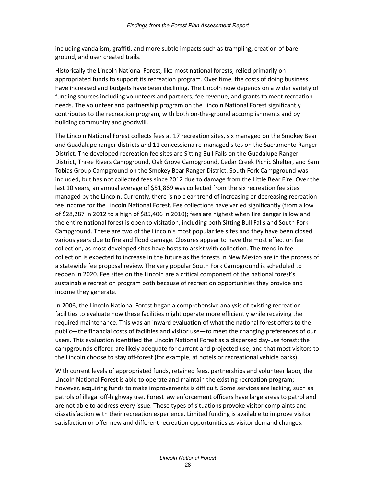including vandalism, graffiti, and more subtle impacts such as trampling, creation of bare ground, and user created trails.

Historically the Lincoln National Forest, like most national forests, relied primarily on appropriated funds to support its recreation program. Over time, the costs of doing business have increased and budgets have been declining. The Lincoln now depends on a wider variety of funding sources including volunteers and partners, fee revenue, and grants to meet recreation needs. The volunteer and partnership program on the Lincoln National Forest significantly contributes to the recreation program, with both on-the-ground accomplishments and by building community and goodwill.

The Lincoln National Forest collects fees at 17 recreation sites, six managed on the Smokey Bear and Guadalupe ranger districts and 11 concessionaire-managed sites on the Sacramento Ranger District. The developed recreation fee sites are Sitting Bull Falls on the Guadalupe Ranger District, Three Rivers Campground, Oak Grove Campground, Cedar Creek Picnic Shelter, and Sam Tobias Group Campground on the Smokey Bear Ranger District. South Fork Campground was included, but has not collected fees since 2012 due to damage from the Little Bear Fire. Over the last 10 years, an annual average of \$51,869 was collected from the six recreation fee sites managed by the Lincoln. Currently, there is no clear trend of increasing or decreasing recreation fee income for the Lincoln National Forest. Fee collections have varied significantly (from a low of \$28,287 in 2012 to a high of \$85,406 in 2010); fees are highest when fire danger is low and the entire national forest is open to visitation, including both Sitting Bull Falls and South Fork Campground. These are two of the Lincoln's most popular fee sites and they have been closed various years due to fire and flood damage. Closures appear to have the most effect on fee collection, as most developed sites have hosts to assist with collection. The trend in fee collection is expected to increase in the future as the forests in New Mexico are in the process of a statewide fee proposal review. The very popular South Fork Campground is scheduled to reopen in 2020. Fee sites on the Lincoln are a critical component of the national forest's sustainable recreation program both because of recreation opportunities they provide and income they generate.

In 2006, the Lincoln National Forest began a comprehensive analysis of existing recreation facilities to evaluate how these facilities might operate more efficiently while receiving the required maintenance. This was an inward evaluation of what the national forest offers to the public—the financial costs of facilities and visitor use—to meet the changing preferences of our users. This evaluation identified the Lincoln National Forest as a dispersed day-use forest; the campgrounds offered are likely adequate for current and projected use; and that most visitors to the Lincoln choose to stay off-forest (for example, at hotels or recreational vehicle parks).

With current levels of appropriated funds, retained fees, partnerships and volunteer labor, the Lincoln National Forest is able to operate and maintain the existing recreation program; however, acquiring funds to make improvements is difficult. Some services are lacking, such as patrols of illegal off-highway use. Forest law enforcement officers have large areas to patrol and are not able to address every issue. These types of situations provoke visitor complaints and dissatisfaction with their recreation experience. Limited funding is available to improve visitor satisfaction or offer new and different recreation opportunities as visitor demand changes.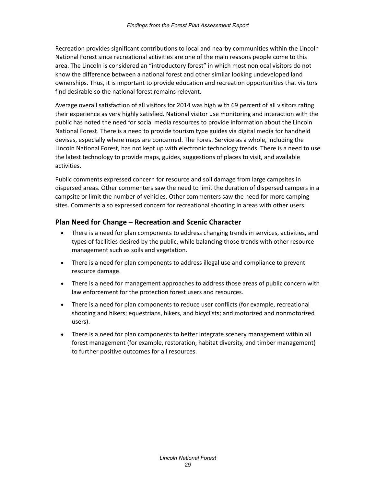Recreation provides significant contributions to local and nearby communities within the Lincoln National Forest since recreational activities are one of the main reasons people come to this area. The Lincoln is considered an "introductory forest" in which most nonlocal visitors do not know the difference between a national forest and other similar looking undeveloped land ownerships. Thus, it is important to provide education and recreation opportunities that visitors find desirable so the national forest remains relevant.

Average overall satisfaction of all visitors for 2014 was high with 69 percent of all visitors rating their experience as very highly satisfied. National visitor use monitoring and interaction with the public has noted the need for social media resources to provide information about the Lincoln National Forest. There is a need to provide tourism type guides via digital media for handheld devises, especially where maps are concerned. The Forest Service as a whole, including the Lincoln National Forest, has not kept up with electronic technology trends. There is a need to use the latest technology to provide maps, guides, suggestions of places to visit, and available activities.

Public comments expressed concern for resource and soil damage from large campsites in dispersed areas. Other commenters saw the need to limit the duration of dispersed campers in a campsite or limit the number of vehicles. Other commenters saw the need for more camping sites. Comments also expressed concern for recreational shooting in areas with other users.

#### **Plan Need for Change – Recreation and Scenic Character**

- There is a need for plan components to address changing trends in services, activities, and types of facilities desired by the public, while balancing those trends with other resource management such as soils and vegetation.
- There is a need for plan components to address illegal use and compliance to prevent resource damage.
- There is a need for management approaches to address those areas of public concern with law enforcement for the protection forest users and resources.
- There is a need for plan components to reduce user conflicts (for example, recreational shooting and hikers; equestrians, hikers, and bicyclists; and motorized and nonmotorized users).
- There is a need for plan components to better integrate scenery management within all forest management (for example, restoration, habitat diversity, and timber management) to further positive outcomes for all resources.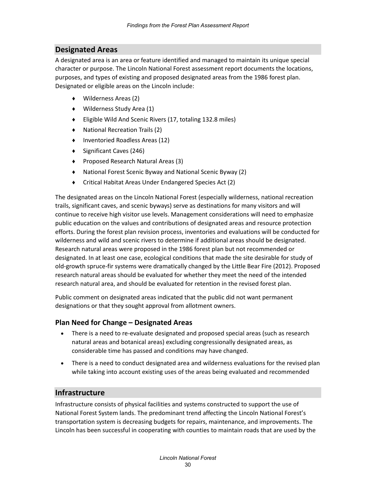#### <span id="page-33-0"></span>**Designated Areas**

A designated area is an area or feature identified and managed to maintain its unique special character or purpose. The Lincoln National Forest assessment report documents the locations, purposes, and types of existing and proposed designated areas from the 1986 forest plan. Designated or eligible areas on the Lincoln include:

- ♦ Wilderness Areas (2)
- ♦ Wilderness Study Area (1)
- ♦ Eligible Wild And Scenic Rivers (17, totaling 132.8 miles)
- ♦ National Recreation Trails (2)
- ♦ Inventoried Roadless Areas (12)
- ♦ Significant Caves (246)
- ♦ Proposed Research Natural Areas (3)
- ♦ National Forest Scenic Byway and National Scenic Byway (2)
- ♦ Critical Habitat Areas Under Endangered Species Act (2)

The designated areas on the Lincoln National Forest (especially wilderness, national recreation trails, significant caves, and scenic byways) serve as destinations for many visitors and will continue to receive high visitor use levels. Management considerations will need to emphasize public education on the values and contributions of designated areas and resource protection efforts. During the forest plan revision process, inventories and evaluations will be conducted for wilderness and wild and scenic rivers to determine if additional areas should be designated. Research natural areas were proposed in the 1986 forest plan but not recommended or designated. In at least one case, ecological conditions that made the site desirable for study of old-growth spruce-fir systems were dramatically changed by the Little Bear Fire (2012). Proposed research natural areas should be evaluated for whether they meet the need of the intended research natural area, and should be evaluated for retention in the revised forest plan.

Public comment on designated areas indicated that the public did not want permanent designations or that they sought approval from allotment owners.

#### **Plan Need for Change – Designated Areas**

- There is a need to re-evaluate designated and proposed special areas (such as research natural areas and botanical areas) excluding congressionally designated areas, as considerable time has passed and conditions may have changed.
- There is a need to conduct designated area and wilderness evaluations for the revised plan while taking into account existing uses of the areas being evaluated and recommended

#### <span id="page-33-1"></span>**Infrastructure**

Infrastructure consists of physical facilities and systems constructed to support the use of National Forest System lands. The predominant trend affecting the Lincoln National Forest's transportation system is decreasing budgets for repairs, maintenance, and improvements. The Lincoln has been successful in cooperating with counties to maintain roads that are used by the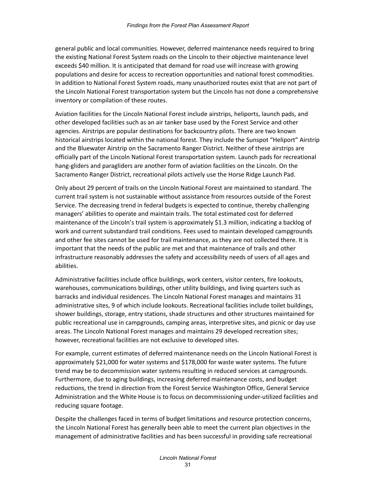general public and local communities. However, deferred maintenance needs required to bring the existing National Forest System roads on the Lincoln to their objective maintenance level exceeds \$40 million. It is anticipated that demand for road use will increase with growing populations and desire for access to recreation opportunities and national forest commodities. In addition to National Forest System roads, many unauthorized routes exist that are not part of the Lincoln National Forest transportation system but the Lincoln has not done a comprehensive inventory or compilation of these routes.

Aviation facilities for the Lincoln National Forest include airstrips, heliports, launch pads, and other developed facilities such as an air tanker base used by the Forest Service and other agencies. Airstrips are popular destinations for backcountry pilots. There are two known historical airstrips located within the national forest. They include the Sunspot "Heliport" Airstrip and the Bluewater Airstrip on the Sacramento Ranger District. Neither of these airstrips are officially part of the Lincoln National Forest transportation system. Launch pads for recreational hang-gliders and paragliders are another form of aviation facilities on the Lincoln. On the Sacramento Ranger District, recreational pilots actively use the Horse Ridge Launch Pad.

Only about 29 percent of trails on the Lincoln National Forest are maintained to standard. The current trail system is not sustainable without assistance from resources outside of the Forest Service. The decreasing trend in federal budgets is expected to continue, thereby challenging managers' abilities to operate and maintain trails. The total estimated cost for deferred maintenance of the Lincoln's trail system is approximately \$1.3 million, indicating a backlog of work and current substandard trail conditions. Fees used to maintain developed campgrounds and other fee sites cannot be used for trail maintenance, as they are not collected there. It is important that the needs of the public are met and that maintenance of trails and other infrastructure reasonably addresses the safety and accessibility needs of users of all ages and abilities.

Administrative facilities include office buildings, work centers, visitor centers, fire lookouts, warehouses, communications buildings, other utility buildings, and living quarters such as barracks and individual residences. The Lincoln National Forest manages and maintains 31 administrative sites, 9 of which include lookouts. Recreational facilities include toilet buildings, shower buildings, storage, entry stations, shade structures and other structures maintained for public recreational use in campgrounds, camping areas, interpretive sites, and picnic or day use areas. The Lincoln National Forest manages and maintains 29 developed recreation sites; however, recreational facilities are not exclusive to developed sites.

For example, current estimates of deferred maintenance needs on the Lincoln National Forest is approximately \$21,000 for water systems and \$178,000 for waste water systems. The future trend may be to decommission water systems resulting in reduced services at campgrounds. Furthermore, due to aging buildings, increasing deferred maintenance costs, and budget reductions, the trend in direction from the Forest Service Washington Office, General Service Administration and the White House is to focus on decommissioning under-utilized facilities and reducing square footage.

Despite the challenges faced in terms of budget limitations and resource protection concerns, the Lincoln National Forest has generally been able to meet the current plan objectives in the management of administrative facilities and has been successful in providing safe recreational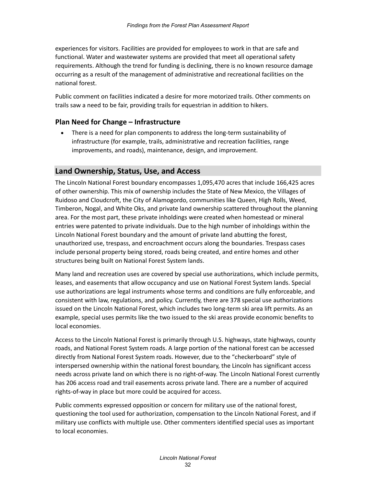experiences for visitors. Facilities are provided for employees to work in that are safe and functional. Water and wastewater systems are provided that meet all operational safety requirements. Although the trend for funding is declining, there is no known resource damage occurring as a result of the management of administrative and recreational facilities on the national forest.

Public comment on facilities indicated a desire for more motorized trails. Other comments on trails saw a need to be fair, providing trails for equestrian in addition to hikers.

#### **Plan Need for Change – Infrastructure**

• There is a need for plan components to address the long-term sustainability of infrastructure (for example, trails, administrative and recreation facilities, range improvements, and roads), maintenance, design, and improvement.

#### <span id="page-35-0"></span>**Land Ownership, Status, Use, and Access**

The Lincoln National Forest boundary encompasses 1,095,470 acres that include 166,425 acres of other ownership. This mix of ownership includes the State of New Mexico, the Villages of Ruidoso and Cloudcroft, the City of Alamogordo, communities like Queen, High Rolls, Weed, Timberon, Nogal, and White Oks, and private land ownership scattered throughout the planning area. For the most part, these private inholdings were created when homestead or mineral entries were patented to private individuals. Due to the high number of inholdings within the Lincoln National Forest boundary and the amount of private land abutting the forest, unauthorized use, trespass, and encroachment occurs along the boundaries. Trespass cases include personal property being stored, roads being created, and entire homes and other structures being built on National Forest System lands.

Many land and recreation uses are covered by special use authorizations, which include permits, leases, and easements that allow occupancy and use on National Forest System lands. Special use authorizations are legal instruments whose terms and conditions are fully enforceable, and consistent with law, regulations, and policy. Currently, there are 378 special use authorizations issued on the Lincoln National Forest, which includes two long-term ski area lift permits. As an example, special uses permits like the two issued to the ski areas provide economic benefits to local economies.

Access to the Lincoln National Forest is primarily through U.S. highways, state highways, county roads, and National Forest System roads. A large portion of the national forest can be accessed directly from National Forest System roads. However, due to the "checkerboard" style of interspersed ownership within the national forest boundary, the Lincoln has significant access needs across private land on which there is no right-of-way. The Lincoln National Forest currently has 206 access road and trail easements across private land. There are a number of acquired rights-of-way in place but more could be acquired for access.

Public comments expressed opposition or concern for military use of the national forest, questioning the tool used for authorization, compensation to the Lincoln National Forest, and if military use conflicts with multiple use. Other commenters identified special uses as important to local economies.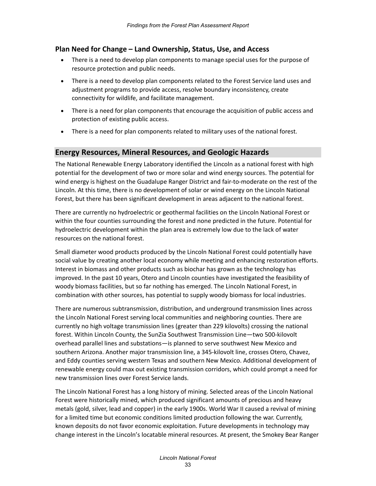#### **Plan Need for Change – Land Ownership, Status, Use, and Access**

- There is a need to develop plan components to manage special uses for the purpose of resource protection and public needs.
- There is a need to develop plan components related to the Forest Service land uses and adjustment programs to provide access, resolve boundary inconsistency, create connectivity for wildlife, and facilitate management.
- There is a need for plan components that encourage the acquisition of public access and protection of existing public access.
- There is a need for plan components related to military uses of the national forest.

#### <span id="page-36-0"></span>**Energy Resources, Mineral Resources, and Geologic Hazards**

The National Renewable Energy Laboratory identified the Lincoln as a national forest with high potential for the development of two or more solar and wind energy sources. The potential for wind energy is highest on the Guadalupe Ranger District and fair-to-moderate on the rest of the Lincoln. At this time, there is no development of solar or wind energy on the Lincoln National Forest, but there has been significant development in areas adjacent to the national forest.

There are currently no hydroelectric or geothermal facilities on the Lincoln National Forest or within the four counties surrounding the forest and none predicted in the future. Potential for hydroelectric development within the plan area is extremely low due to the lack of water resources on the national forest.

Small diameter wood products produced by the Lincoln National Forest could potentially have social value by creating another local economy while meeting and enhancing restoration efforts. Interest in biomass and other products such as biochar has grown as the technology has improved. In the past 10 years, Otero and Lincoln counties have investigated the feasibility of woody biomass facilities, but so far nothing has emerged. The Lincoln National Forest, in combination with other sources, has potential to supply woody biomass for local industries.

There are numerous subtransmission, distribution, and underground transmission lines across the Lincoln National Forest serving local communities and neighboring counties. There are currently no high voltage transmission lines (greater than 229 kilovolts) crossing the national forest. Within Lincoln County, the SunZia Southwest Transmission Line—two 500-kilovolt overhead parallel lines and substations—is planned to serve southwest New Mexico and southern Arizona. Another major transmission line, a 345-kilovolt line, crosses Otero, Chavez, and Eddy counties serving western Texas and southern New Mexico. Additional development of renewable energy could max out existing transmission corridors, which could prompt a need for new transmission lines over Forest Service lands.

The Lincoln National Forest has a long history of mining. Selected areas of the Lincoln National Forest were historically mined, which produced significant amounts of precious and heavy metals (gold, silver, lead and copper) in the early 1900s. World War II caused a revival of mining for a limited time but economic conditions limited production following the war. Currently, known deposits do not favor economic exploitation. Future developments in technology may change interest in the Lincoln's locatable mineral resources. At present, the Smokey Bear Ranger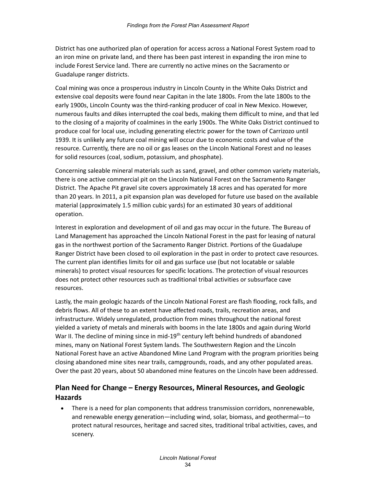District has one authorized plan of operation for access across a National Forest System road to an iron mine on private land, and there has been past interest in expanding the iron mine to include Forest Service land. There are currently no active mines on the Sacramento or Guadalupe ranger districts.

Coal mining was once a prosperous industry in Lincoln County in the White Oaks District and extensive coal deposits were found near Capitan in the late 1800s. From the late 1800s to the early 1900s, Lincoln County was the third-ranking producer of coal in New Mexico. However, numerous faults and dikes interrupted the coal beds, making them difficult to mine, and that led to the closing of a majority of coalmines in the early 1900s. The White Oaks District continued to produce coal for local use, including generating electric power for the town of Carrizozo until 1939. It is unlikely any future coal mining will occur due to economic costs and value of the resource. Currently, there are no oil or gas leases on the Lincoln National Forest and no leases for solid resources (coal, sodium, potassium, and phosphate).

Concerning saleable mineral materials such as sand, gravel, and other common variety materials, there is one active commercial pit on the Lincoln National Forest on the Sacramento Ranger District. The Apache Pit gravel site covers approximately 18 acres and has operated for more than 20 years. In 2011, a pit expansion plan was developed for future use based on the available material (approximately 1.5 million cubic yards) for an estimated 30 years of additional operation.

Interest in exploration and development of oil and gas may occur in the future. The Bureau of Land Management has approached the Lincoln National Forest in the past for leasing of natural gas in the northwest portion of the Sacramento Ranger District. Portions of the Guadalupe Ranger District have been closed to oil exploration in the past in order to protect cave resources. The current plan identifies limits for oil and gas surface use (but not locatable or salable minerals) to protect visual resources for specific locations. The protection of visual resources does not protect other resources such as traditional tribal activities or subsurface cave resources.

Lastly, the main geologic hazards of the Lincoln National Forest are flash flooding, rock falls, and debris flows. All of these to an extent have affected roads, trails, recreation areas, and infrastructure. Widely unregulated, production from mines throughout the national forest yielded a variety of metals and minerals with booms in the late 1800s and again during World War II. The decline of mining since in mid-19<sup>th</sup> century left behind hundreds of abandoned mines, many on National Forest System lands. The Southwestern Region and the Lincoln National Forest have an active Abandoned Mine Land Program with the program priorities being closing abandoned mine sites near trails, campgrounds, roads, and any other populated areas. Over the past 20 years, about 50 abandoned mine features on the Lincoln have been addressed.

#### **Plan Need for Change – Energy Resources, Mineral Resources, and Geologic Hazards**

• There is a need for plan components that address transmission corridors, nonrenewable, and renewable energy generation—including wind, solar, biomass, and geothermal—to protect natural resources, heritage and sacred sites, traditional tribal activities, caves, and scenery.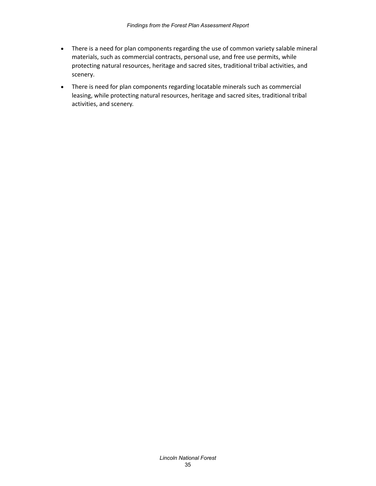- There is a need for plan components regarding the use of common variety salable mineral materials, such as commercial contracts, personal use, and free use permits, while protecting natural resources, heritage and sacred sites, traditional tribal activities, and scenery.
- There is need for plan components regarding locatable minerals such as commercial leasing, while protecting natural resources, heritage and sacred sites, traditional tribal activities, and scenery.